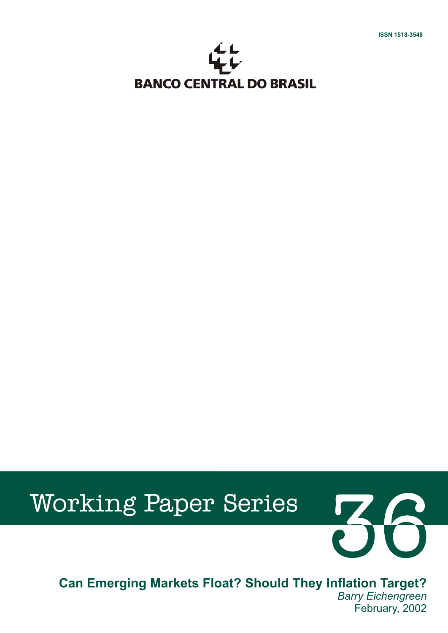

# Working Paper Series



**Can Emerging Markets Float? Should They Inflation Target?** *Barry Eichengreen* February, 2002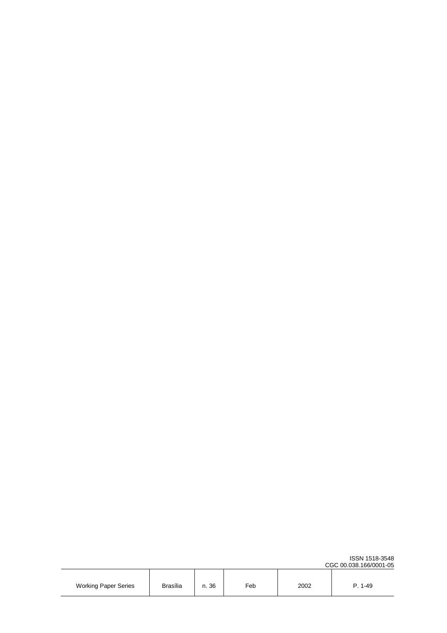| <b>000 00.000.100/000 L N</b> |                 |       |     |      |          |  |
|-------------------------------|-----------------|-------|-----|------|----------|--|
| <b>Working Paper Series</b>   | <b>Brasília</b> | n. 36 | ⊏eb | 2002 | $1 - 49$ |  |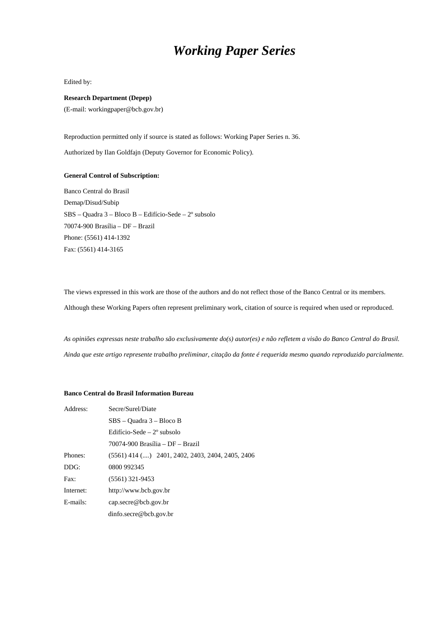## *Working Paper Series*

Edited by:

#### **Research Department (Depep)**

(E-mail: workingpaper@bcb.gov.br)

Reproduction permitted only if source is stated as follows: Working Paper Series n. 36. Authorized by Ilan Goldfajn (Deputy Governor for Economic Policy).

#### **General Control of Subscription:**

Banco Central do Brasil Demap/Disud/Subip SBS – Quadra 3 – Bloco B – Edifício-Sede – 2º subsolo 70074-900 Brasília – DF – Brazil Phone: (5561) 414-1392 Fax: (5561) 414-3165

The views expressed in this work are those of the authors and do not reflect those of the Banco Central or its members. Although these Working Papers often represent preliminary work, citation of source is required when used or reproduced.

*As opiniões expressas neste trabalho são exclusivamente do(s) autor(es) e não refletem a visão do Banco Central do Brasil. Ainda que este artigo represente trabalho preliminar, citação da fonte é requerida mesmo quando reproduzido parcialmente.* 

#### **Banco Central do Brasil Information Bureau**

| Address:  | Secre/Surel/Diate                                |
|-----------|--------------------------------------------------|
|           | $SBS - Quadra 3 - Bloco B$                       |
|           | Edifício-Sede $-2^{\circ}$ subsolo               |
|           | $70074 - 900$ Brasília – DF – Brazil             |
| Phones:   | (5561) 414 () 2401, 2402, 2403, 2404, 2405, 2406 |
| DDG:      | 0800 992345                                      |
| Fax:      | $(5561)$ 321-9453                                |
| Internet: | http://www.bcb.gov.br                            |
| E-mails:  | cap. secre@bcb.gov.br                            |
|           | dinfo. secre@bcb.gov.br                          |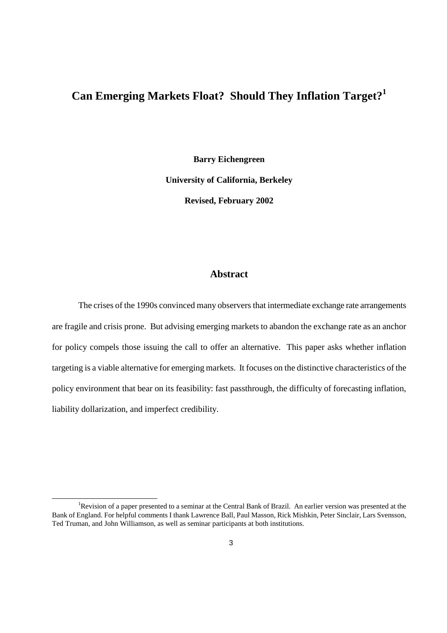## **Can Emerging Markets Float? Should They Inflation Target?1**

**Barry Eichengreen University of California, Berkeley Revised, February 2002** 

#### **Abstract**

The crises of the 1990s convinced many observers that intermediate exchange rate arrangements are fragile and crisis prone. But advising emerging markets to abandon the exchange rate as an anchor for policy compels those issuing the call to offer an alternative. This paper asks whether inflation targeting is a viable alternative for emerging markets. It focuses on the distinctive characteristics of the policy environment that bear on its feasibility: fast passthrough, the difficulty of forecasting inflation, liability dollarization, and imperfect credibility.

<sup>&</sup>lt;u>1</u> <sup>1</sup>Revision of a paper presented to a seminar at the Central Bank of Brazil. An earlier version was presented at the Bank of England. For helpful comments I thank Lawrence Ball, Paul Masson, Rick Mishkin, Peter Sinclair, Lars Svensson, Ted Truman, and John Williamson, as well as seminar participants at both institutions.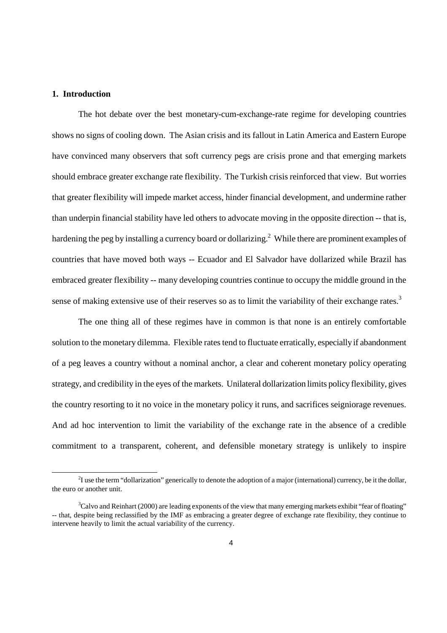#### **1. Introduction**

The hot debate over the best monetary-cum-exchange-rate regime for developing countries shows no signs of cooling down. The Asian crisis and its fallout in Latin America and Eastern Europe have convinced many observers that soft currency pegs are crisis prone and that emerging markets should embrace greater exchange rate flexibility. The Turkish crisis reinforced that view. But worries that greater flexibility will impede market access, hinder financial development, and undermine rather than underpin financial stability have led others to advocate moving in the opposite direction -- that is, hardening the peg by installing a currency board or dollarizing.<sup>2</sup> While there are prominent examples of countries that have moved both ways -- Ecuador and El Salvador have dollarized while Brazil has embraced greater flexibility -- many developing countries continue to occupy the middle ground in the sense of making extensive use of their reserves so as to limit the variability of their exchange rates.<sup>3</sup>

The one thing all of these regimes have in common is that none is an entirely comfortable solution to the monetary dilemma. Flexible rates tend to fluctuate erratically, especially if abandonment of a peg leaves a country without a nominal anchor, a clear and coherent monetary policy operating strategy, and credibility in the eyes of the markets. Unilateral dollarization limits policy flexibility, gives the country resorting to it no voice in the monetary policy it runs, and sacrifices seigniorage revenues. And ad hoc intervention to limit the variability of the exchange rate in the absence of a credible commitment to a transparent, coherent, and defensible monetary strategy is unlikely to inspire

 $\frac{1}{2}$  ${}^{2}I$  use the term "dollarization" generically to denote the adoption of a major (international) currency, be it the dollar, the euro or another unit.

 $3$ Calvo and Reinhart (2000) are leading exponents of the view that many emerging markets exhibit "fear of floating" -- that, despite being reclassified by the IMF as embracing a greater degree of exchange rate flexibility, they continue to intervene heavily to limit the actual variability of the currency.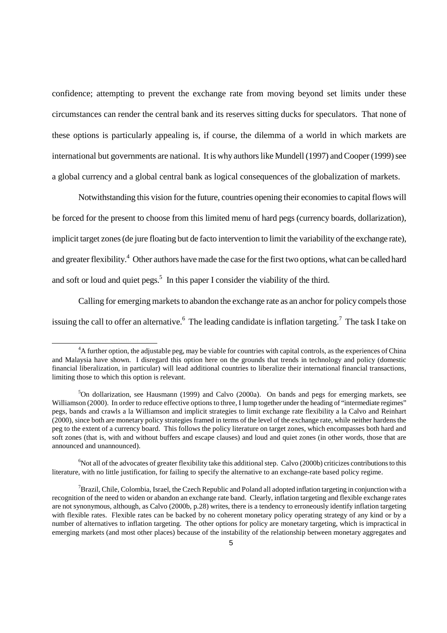confidence; attempting to prevent the exchange rate from moving beyond set limits under these circumstances can render the central bank and its reserves sitting ducks for speculators. That none of these options is particularly appealing is, if course, the dilemma of a world in which markets are international but governments are national. It is why authors like Mundell (1997) and Cooper (1999) see a global currency and a global central bank as logical consequences of the globalization of markets.

Notwithstanding this vision for the future, countries opening their economies to capital flows will be forced for the present to choose from this limited menu of hard pegs (currency boards, dollarization), implicit target zones (de jure floating but de facto intervention to limit the variability of the exchange rate), and greater flexibility.<sup>4</sup> Other authors have made the case for the first two options, what can be called hard and soft or loud and quiet pegs.<sup>5</sup> In this paper I consider the viability of the third.

Calling for emerging markets to abandon the exchange rate as an anchor for policy compels those issuing the call to offer an alternative.  $6$  The leading candidate is inflation targeting.  $7$  The task I take on

 $\begin{array}{c|c}\n\hline\n\end{array}$ <sup>4</sup>A further option, the adjustable peg, may be viable for countries with capital controls, as the experiences of China and Malaysia have shown. I disregard this option here on the grounds that trends in technology and policy (domestic financial liberalization, in particular) will lead additional countries to liberalize their international financial transactions, limiting those to which this option is relevant.

<sup>&</sup>lt;sup>5</sup>On dollarization, see Hausmann (1999) and Calvo (2000a). On bands and pegs for emerging markets, see Williamson (2000). In order to reduce effective options to three, I lump together under the heading of "intermediate regimes" pegs, bands and crawls a la Williamson and implicit strategies to limit exchange rate flexibility a la Calvo and Reinhart (2000), since both are monetary policy strategies framed in terms of the level of the exchange rate, while neither hardens the peg to the extent of a currency board. This follows the policy literature on target zones, which encompasses both hard and soft zones (that is, with and without buffers and escape clauses) and loud and quiet zones (in other words, those that are announced and unannounced).

<sup>&</sup>lt;sup>6</sup>Not all of the advocates of greater flexibility take this additional step. Calvo (2000b) criticizes contributions to this literature, with no little justification, for failing to specify the alternative to an exchange-rate based policy regime.

<sup>&</sup>lt;sup>7</sup>Brazil, Chile, Colombia, Israel, the Czech Republic and Poland all adopted inflation targeting in conjunction with a recognition of the need to widen or abandon an exchange rate band. Clearly, inflation targeting and flexible exchange rates are not synonymous, although, as Calvo (2000b, p.28) writes, there is a tendency to erroneously identify inflation targeting with flexible rates. Flexible rates can be backed by no coherent monetary policy operating strategy of any kind or by a number of alternatives to inflation targeting. The other options for policy are monetary targeting, which is impractical in emerging markets (and most other places) because of the instability of the relationship between monetary aggregates and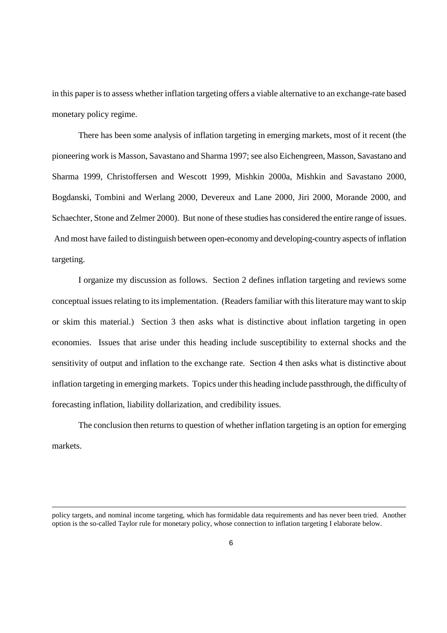in this paper is to assess whether inflation targeting offers a viable alternative to an exchange-rate based monetary policy regime.

There has been some analysis of inflation targeting in emerging markets, most of it recent (the pioneering work is Masson, Savastano and Sharma 1997; see also Eichengreen, Masson, Savastano and Sharma 1999, Christoffersen and Wescott 1999, Mishkin 2000a, Mishkin and Savastano 2000, Bogdanski, Tombini and Werlang 2000, Devereux and Lane 2000, Jiri 2000, Morande 2000, and Schaechter, Stone and Zelmer 2000). But none of these studies has considered the entire range of issues. And most have failed to distinguish between open-economy and developing-country aspects of inflation targeting.

I organize my discussion as follows. Section 2 defines inflation targeting and reviews some conceptual issues relating to its implementation. (Readers familiar with this literature may want to skip or skim this material.) Section 3 then asks what is distinctive about inflation targeting in open economies. Issues that arise under this heading include susceptibility to external shocks and the sensitivity of output and inflation to the exchange rate. Section 4 then asks what is distinctive about inflation targeting in emerging markets. Topics under this heading include passthrough, the difficulty of forecasting inflation, liability dollarization, and credibility issues.

The conclusion then returns to question of whether inflation targeting is an option for emerging markets.

l

policy targets, and nominal income targeting, which has formidable data requirements and has never been tried. Another option is the so-called Taylor rule for monetary policy, whose connection to inflation targeting I elaborate below.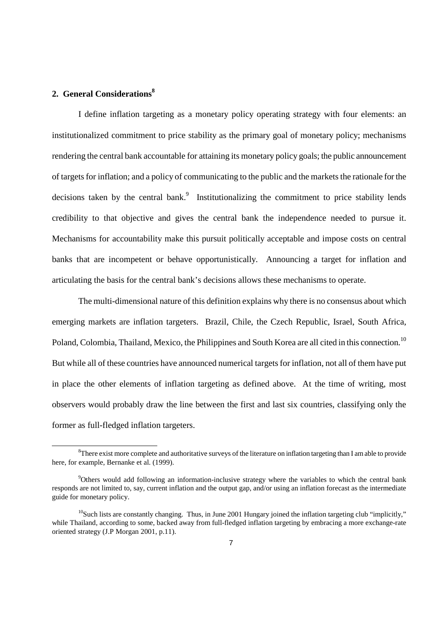#### **2. General Considerations<sup>8</sup>**

I define inflation targeting as a monetary policy operating strategy with four elements: an institutionalized commitment to price stability as the primary goal of monetary policy; mechanisms rendering the central bank accountable for attaining its monetary policy goals; the public announcement of targets for inflation; and a policy of communicating to the public and the markets the rationale for the decisions taken by the central bank. $9$  Institutionalizing the commitment to price stability lends credibility to that objective and gives the central bank the independence needed to pursue it. Mechanisms for accountability make this pursuit politically acceptable and impose costs on central banks that are incompetent or behave opportunistically. Announcing a target for inflation and articulating the basis for the central bank's decisions allows these mechanisms to operate.

The multi-dimensional nature of this definition explains why there is no consensus about which emerging markets are inflation targeters. Brazil, Chile, the Czech Republic, Israel, South Africa, Poland, Colombia, Thailand, Mexico, the Philippines and South Korea are all cited in this connection.<sup>10</sup> But while all of these countries have announced numerical targets for inflation, not all of them have put in place the other elements of inflation targeting as defined above. At the time of writing, most observers would probably draw the line between the first and last six countries, classifying only the former as full-fledged inflation targeters.

 $\overline{\qquad \qquad }$  8  ${}^{8}$ There exist more complete and authoritative surveys of the literature on inflation targeting than I am able to provide here, for example, Bernanke et al. (1999).

<sup>&</sup>lt;sup>9</sup>Others would add following an information-inclusive strategy where the variables to which the central bank responds are not limited to, say, current inflation and the output gap, and/or using an inflation forecast as the intermediate guide for monetary policy.

 $10$ Such lists are constantly changing. Thus, in June 2001 Hungary joined the inflation targeting club "implicitly," while Thailand, according to some, backed away from full-fledged inflation targeting by embracing a more exchange-rate oriented strategy (J.P Morgan 2001, p.11).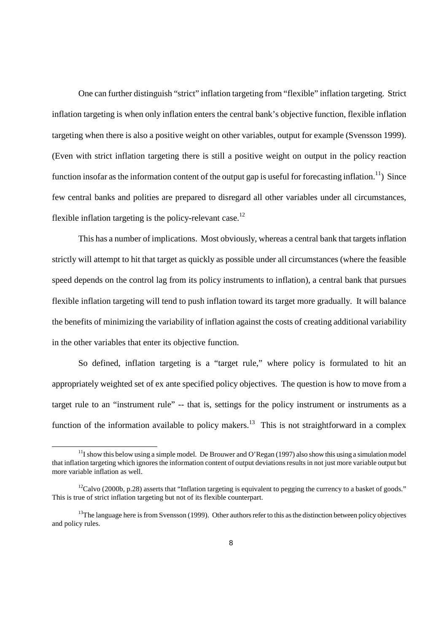One can further distinguish "strict" inflation targeting from "flexible" inflation targeting. Strict inflation targeting is when only inflation enters the central bank's objective function, flexible inflation targeting when there is also a positive weight on other variables, output for example (Svensson 1999). (Even with strict inflation targeting there is still a positive weight on output in the policy reaction function insofar as the information content of the output gap is useful for forecasting inflation.<sup>11</sup>) Since few central banks and polities are prepared to disregard all other variables under all circumstances, flexible inflation targeting is the policy-relevant case.<sup>12</sup>

This has a number of implications. Most obviously, whereas a central bank that targets inflation strictly will attempt to hit that target as quickly as possible under all circumstances (where the feasible speed depends on the control lag from its policy instruments to inflation), a central bank that pursues flexible inflation targeting will tend to push inflation toward its target more gradually. It will balance the benefits of minimizing the variability of inflation against the costs of creating additional variability in the other variables that enter its objective function.

So defined, inflation targeting is a "target rule," where policy is formulated to hit an appropriately weighted set of ex ante specified policy objectives. The question is how to move from a target rule to an "instrument rule" -- that is, settings for the policy instrument or instruments as a function of the information available to policy makers.<sup>13</sup> This is not straightforward in a complex

 $11$ I show this below using a simple model. De Brouwer and O'Regan (1997) also show this using a simulation model that inflation targeting which ignores the information content of output deviations results in not just more variable output but more variable inflation as well.

 $12C$ alvo (2000b, p.28) asserts that "Inflation targeting is equivalent to pegging the currency to a basket of goods." This is true of strict inflation targeting but not of its flexible counterpart.

 $13$ The language here is from Svensson (1999). Other authors refer to this as the distinction between policy objectives and policy rules.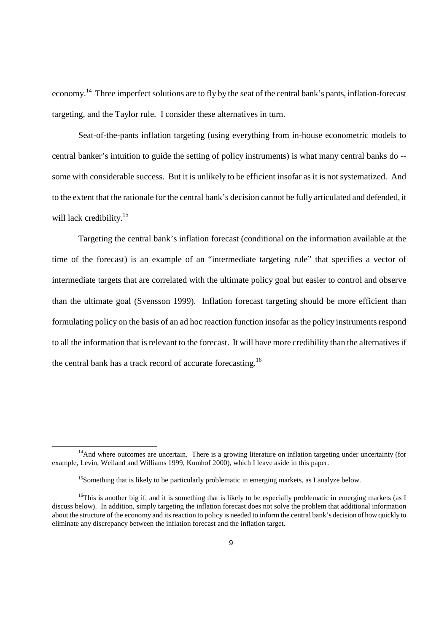economy.<sup>14</sup> Three imperfect solutions are to fly by the seat of the central bank's pants, inflation-forecast targeting, and the Taylor rule. I consider these alternatives in turn.

Seat-of-the-pants inflation targeting (using everything from in-house econometric models to central banker's intuition to guide the setting of policy instruments) is what many central banks do - some with considerable success. But it is unlikely to be efficient insofar as it is not systematized. And to the extent that the rationale for the central bank's decision cannot be fully articulated and defended, it will lack credibility.<sup>15</sup>

Targeting the central bank's inflation forecast (conditional on the information available at the time of the forecast) is an example of an "intermediate targeting rule" that specifies a vector of intermediate targets that are correlated with the ultimate policy goal but easier to control and observe than the ultimate goal (Svensson 1999). Inflation forecast targeting should be more efficient than formulating policy on the basis of an ad hoc reaction function insofar as the policy instruments respond to all the information that is relevant to the forecast. It will have more credibility than the alternatives if the central bank has a track record of accurate forecasting.<sup>16</sup>

<sup>&</sup>lt;sup>14</sup>And where outcomes are uncertain. There is a growing literature on inflation targeting under uncertainty (for example, Levin, Weiland and Williams 1999, Kumhof 2000), which I leave aside in this paper.

<sup>&</sup>lt;sup>15</sup>Something that is likely to be particularly problematic in emerging markets, as I analyze below.

 $16$ This is another big if, and it is something that is likely to be especially problematic in emerging markets (as I discuss below). In addition, simply targeting the inflation forecast does not solve the problem that additional information about the structure of the economy and its reaction to policy is needed to inform the central bank's decision of how quickly to eliminate any discrepancy between the inflation forecast and the inflation target.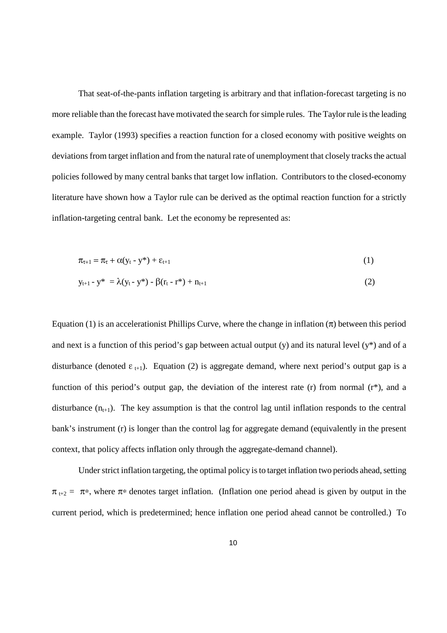That seat-of-the-pants inflation targeting is arbitrary and that inflation-forecast targeting is no more reliable than the forecast have motivated the search for simple rules. The Taylor rule is the leading example. Taylor (1993) specifies a reaction function for a closed economy with positive weights on deviations from target inflation and from the natural rate of unemployment that closely tracks the actual policies followed by many central banks that target low inflation. Contributors to the closed-economy literature have shown how a Taylor rule can be derived as the optimal reaction function for a strictly inflation-targeting central bank. Let the economy be represented as:

$$
\pi_{\tau+1} = \pi_{\tau} + \alpha(y_t - y^*) + \varepsilon_{t+1} \tag{1}
$$

$$
y_{t+1} - y^* = \lambda (y_t - y^*) - \beta (r_t - r^*) + n_{t+1}
$$
 (2)

Equation (1) is an accelerationist Phillips Curve, where the change in inflation  $(\pi)$  between this period and next is a function of this period's gap between actual output  $(y)$  and its natural level  $(y^*)$  and of a disturbance (denoted  $\varepsilon$ <sub>t+1</sub>). Equation (2) is aggregate demand, where next period's output gap is a function of this period's output gap, the deviation of the interest rate (r) from normal (r\*), and a disturbance  $(n_{t+1})$ . The key assumption is that the control lag until inflation responds to the central bank's instrument (r) is longer than the control lag for aggregate demand (equivalently in the present context, that policy affects inflation only through the aggregate-demand channel).

Under strict inflation targeting, the optimal policy is to target inflation two periods ahead, setting  $\pi_{t+2} = \pi^*$ , where  $\pi^*$  denotes target inflation. (Inflation one period ahead is given by output in the current period, which is predetermined; hence inflation one period ahead cannot be controlled.) To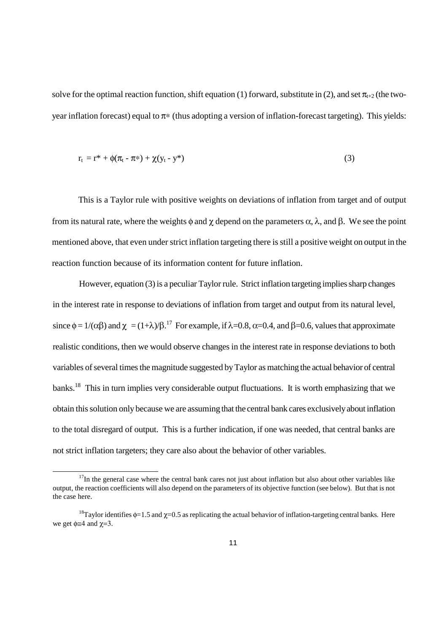solve for the optimal reaction function, shift equation (1) forward, substitute in (2), and set  $\pi_{t+2}$  (the twoyear inflation forecast) equal to π∗ (thus adopting a version of inflation-forecast targeting). This yields:

$$
r_t = r^* + \phi(\pi_t - \pi^*) + \chi(y_t - y^*)
$$
\n
$$
(3)
$$

This is a Taylor rule with positive weights on deviations of inflation from target and of output from its natural rate, where the weights φ and χ depend on the parameters α, λ, and β. We see the point mentioned above, that even under strict inflation targeting there is still a positive weight on output in the reaction function because of its information content for future inflation.

However, equation (3) is a peculiar Taylor rule. Strict inflation targeting implies sharp changes in the interest rate in response to deviations of inflation from target and output from its natural level, since  $\phi = 1/(\alpha\beta)$  and  $\chi = (1+\lambda)/\beta$ .<sup>17</sup> For example, if  $\lambda$ =0.8,  $\alpha$ =0.4, and  $\beta$ =0.6, values that approximate realistic conditions, then we would observe changes in the interest rate in response deviations to both variables of several times the magnitude suggested by Taylor as matching the actual behavior of central banks.<sup>18</sup> This in turn implies very considerable output fluctuations. It is worth emphasizing that we obtain this solution only because we are assuming that the central bank cares exclusively about inflation to the total disregard of output. This is a further indication, if one was needed, that central banks are not strict inflation targeters; they care also about the behavior of other variables.

 $17$ In the general case where the central bank cares not just about inflation but also about other variables like output, the reaction coefficients will also depend on the parameters of its objective function (see below). But that is not the case here.

<sup>&</sup>lt;sup>18</sup>Taylor identifies  $\phi$ =1.5 and  $\gamma$ =0.5 as replicating the actual behavior of inflation-targeting central banks. Here we get  $\phi \cong 4$  and  $\gamma = 3$ .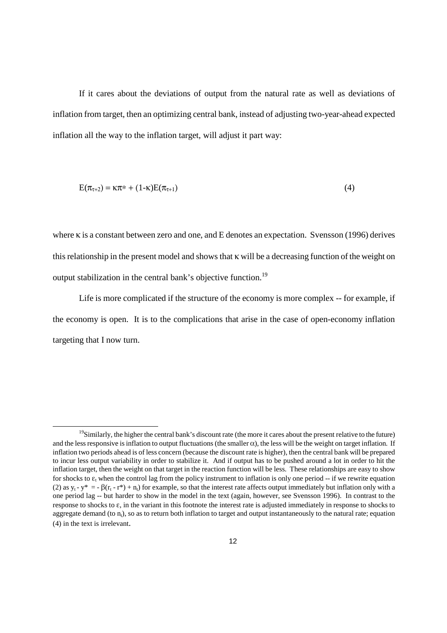If it cares about the deviations of output from the natural rate as well as deviations of inflation from target, then an optimizing central bank, instead of adjusting two-year-ahead expected inflation all the way to the inflation target, will adjust it part way:

$$
E(\pi_{\tau+2}) = \kappa \pi^* + (1-\kappa)E(\pi_{\tau+1})
$$
\n<sup>(4)</sup>

where κ is a constant between zero and one, and E denotes an expectation. Svensson (1996) derives this relationship in the present model and shows that κ will be a decreasing function of the weight on output stabilization in the central bank's objective function.<sup>19</sup>

Life is more complicated if the structure of the economy is more complex -- for example, if the economy is open. It is to the complications that arise in the case of open-economy inflation targeting that I now turn.

 $19$ Similarly, the higher the central bank's discount rate (the more it cares about the present relative to the future) and the less responsive is inflation to output fluctuations (the smaller  $\alpha$ ), the less will be the weight on target inflation. If inflation two periods ahead is of less concern (because the discount rate is higher), then the central bank will be prepared to incur less output variability in order to stabilize it. And if output has to be pushed around a lot in order to hit the inflation target, then the weight on that target in the reaction function will be less. These relationships are easy to show for shocks to  $\varepsilon_t$  when the control lag from the policy instrument to inflation is only one period -- if we rewrite equation (2) as  $y_t - y^* = -\beta(r_t - r^*) + n_t$  for example, so that the interest rate affects output immediately but inflation only with a one period lag -- but harder to show in the model in the text (again, however, see Svensson 1996). In contrast to the response to shocks to  $\varepsilon$ , in the variant in this footnote the interest rate is adjusted immediately in response to shocks to aggregate demand (to  $n_t$ ), so as to return both inflation to target and output instantaneously to the natural rate; equation (4) in the text is irrelevant.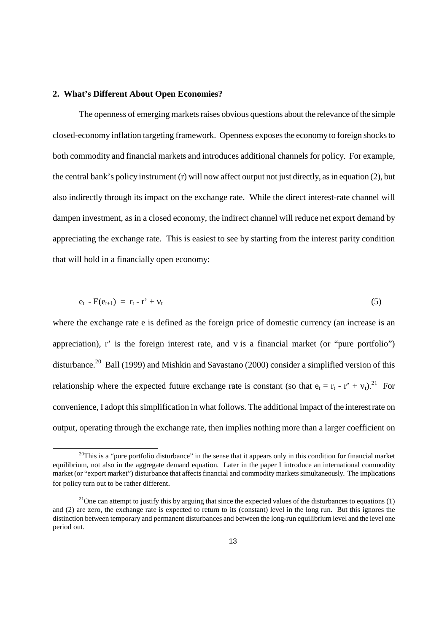#### **2. What's Different About Open Economies?**

The openness of emerging markets raises obvious questions about the relevance of the simple closed-economy inflation targeting framework. Openness exposes the economy to foreign shocks to both commodity and financial markets and introduces additional channels for policy. For example, the central bank's policy instrument (r) will now affect output not just directly, as in equation (2), but also indirectly through its impact on the exchange rate. While the direct interest-rate channel will dampen investment, as in a closed economy, the indirect channel will reduce net export demand by appreciating the exchange rate. This is easiest to see by starting from the interest parity condition that will hold in a financially open economy:

$$
e_t - E(e_{t+1}) = r_t - r' + v_t \tag{5}
$$

where the exchange rate e is defined as the foreign price of domestic currency (an increase is an appreciation), r' is the foreign interest rate, and  $\nu$  is a financial market (or "pure portfolio") disturbance.<sup>20</sup> Ball (1999) and Mishkin and Savastano (2000) consider a simplified version of this relationship where the expected future exchange rate is constant (so that  $e_t = r_t - r' + v_t$ ).<sup>21</sup> For convenience, I adopt this simplification in what follows. The additional impact of the interest rate on output, operating through the exchange rate, then implies nothing more than a larger coefficient on

 $20$ This is a "pure portfolio disturbance" in the sense that it appears only in this condition for financial market equilibrium, not also in the aggregate demand equation. Later in the paper I introduce an international commodity market (or "export market") disturbance that affects financial and commodity markets simultaneously. The implications for policy turn out to be rather different.

 $21$ One can attempt to justify this by arguing that since the expected values of the disturbances to equations (1) and (2) are zero, the exchange rate is expected to return to its (constant) level in the long run. But this ignores the distinction between temporary and permanent disturbances and between the long-run equilibrium level and the level one period out.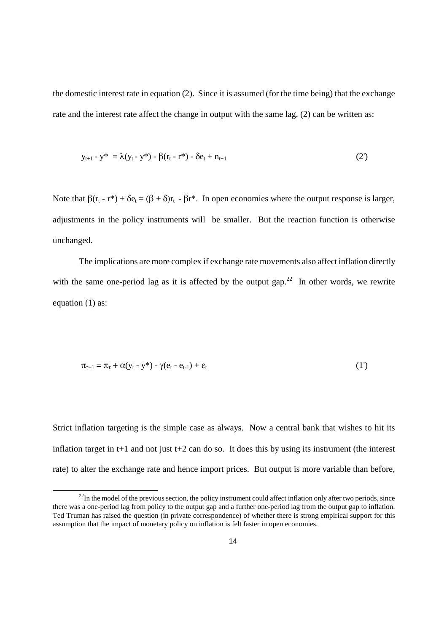the domestic interest rate in equation (2). Since it is assumed (for the time being) that the exchange rate and the interest rate affect the change in output with the same lag, (2) can be written as:

$$
y_{t+1} - y^* = \lambda (y_t - y^*) - \beta (r_t - r^*) - \delta e_t + n_{t+1}
$$
 (2')

Note that  $\beta(r_t - r^*) + \delta e_t = (\beta + \delta)r_t - \beta r^*$ . In open economies where the output response is larger, adjustments in the policy instruments will be smaller. But the reaction function is otherwise unchanged.

The implications are more complex if exchange rate movements also affect inflation directly with the same one-period lag as it is affected by the output gap.<sup>22</sup> In other words, we rewrite equation (1) as:

$$
\pi_{\tau+1} = \pi_{\tau} + \alpha(y_t - y^*) - \gamma(e_t - e_{t-1}) + \varepsilon_t \tag{1'}
$$

Strict inflation targeting is the simple case as always. Now a central bank that wishes to hit its inflation target in t+1 and not just t+2 can do so. It does this by using its instrument (the interest rate) to alter the exchange rate and hence import prices. But output is more variable than before,

 $^{22}$ In the model of the previous section, the policy instrument could affect inflation only after two periods, since there was a one-period lag from policy to the output gap and a further one-period lag from the output gap to inflation. Ted Truman has raised the question (in private correspondence) of whether there is strong empirical support for this assumption that the impact of monetary policy on inflation is felt faster in open economies.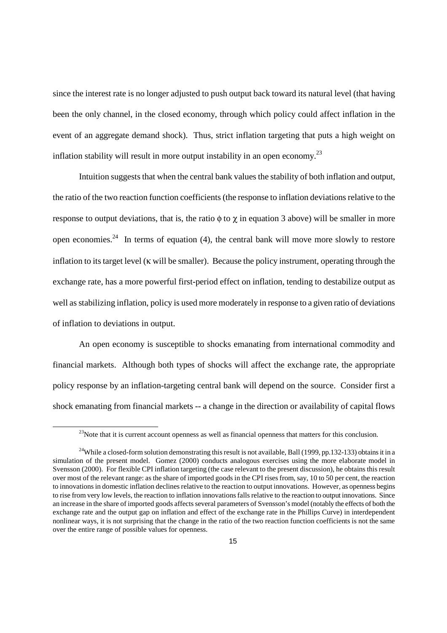since the interest rate is no longer adjusted to push output back toward its natural level (that having been the only channel, in the closed economy, through which policy could affect inflation in the event of an aggregate demand shock). Thus, strict inflation targeting that puts a high weight on inflation stability will result in more output instability in an open economy.<sup>23</sup>

Intuition suggests that when the central bank values the stability of both inflation and output, the ratio of the two reaction function coefficients (the response to inflation deviations relative to the response to output deviations, that is, the ratio  $\phi$  to  $\chi$  in equation 3 above) will be smaller in more open economies.<sup>24</sup> In terms of equation (4), the central bank will move more slowly to restore inflation to its target level (κ will be smaller). Because the policy instrument, operating through the exchange rate, has a more powerful first-period effect on inflation, tending to destabilize output as well as stabilizing inflation, policy is used more moderately in response to a given ratio of deviations of inflation to deviations in output.

An open economy is susceptible to shocks emanating from international commodity and financial markets. Although both types of shocks will affect the exchange rate, the appropriate policy response by an inflation-targeting central bank will depend on the source. Consider first a shock emanating from financial markets -- a change in the direction or availability of capital flows

 $^{23}$ Note that it is current account openness as well as financial openness that matters for this conclusion.

<sup>&</sup>lt;sup>24</sup>While a closed-form solution demonstrating this result is not available, Ball (1999, pp.132-133) obtains it in a simulation of the present model. Gomez (2000) conducts analogous exercises using the more elaborate model in Svensson (2000). For flexible CPI inflation targeting (the case relevant to the present discussion), he obtains this result over most of the relevant range: as the share of imported goods in the CPI rises from, say, 10 to 50 per cent, the reaction to innovations in domestic inflation declines relative to the reaction to output innovations. However, as openness begins to rise from very low levels, the reaction to inflation innovations falls relative to the reaction to output innovations. Since an increase in the share of imported goods affects several parameters of Svensson's model (notably the effects of both the exchange rate and the output gap on inflation and effect of the exchange rate in the Phillips Curve) in interdependent nonlinear ways, it is not surprising that the change in the ratio of the two reaction function coefficients is not the same over the entire range of possible values for openness.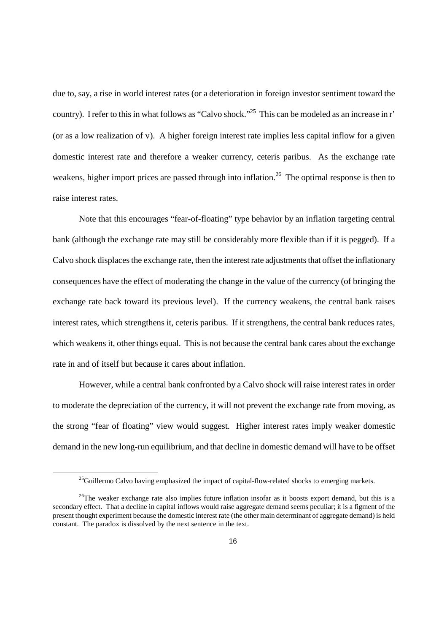due to, say, a rise in world interest rates (or a deterioration in foreign investor sentiment toward the country). I refer to this in what follows as "Calvo shock."25 This can be modeled as an increase in r' (or as a low realization of ν). A higher foreign interest rate implies less capital inflow for a given domestic interest rate and therefore a weaker currency, ceteris paribus. As the exchange rate weakens, higher import prices are passed through into inflation.<sup>26</sup> The optimal response is then to raise interest rates.

Note that this encourages "fear-of-floating" type behavior by an inflation targeting central bank (although the exchange rate may still be considerably more flexible than if it is pegged). If a Calvo shock displaces the exchange rate, then the interest rate adjustments that offset the inflationary consequences have the effect of moderating the change in the value of the currency (of bringing the exchange rate back toward its previous level). If the currency weakens, the central bank raises interest rates, which strengthens it, ceteris paribus. If it strengthens, the central bank reduces rates, which weakens it, other things equal. This is not because the central bank cares about the exchange rate in and of itself but because it cares about inflation.

However, while a central bank confronted by a Calvo shock will raise interest rates in order to moderate the depreciation of the currency, it will not prevent the exchange rate from moving, as the strong "fear of floating" view would suggest. Higher interest rates imply weaker domestic demand in the new long-run equilibrium, and that decline in domestic demand will have to be offset

<sup>&</sup>lt;sup>25</sup>Guillermo Calvo having emphasized the impact of capital-flow-related shocks to emerging markets.

<sup>&</sup>lt;sup>26</sup>The weaker exchange rate also implies future inflation insofar as it boosts export demand, but this is a secondary effect. That a decline in capital inflows would raise aggregate demand seems peculiar; it is a figment of the present thought experiment because the domestic interest rate (the other main determinant of aggregate demand) is held constant. The paradox is dissolved by the next sentence in the text.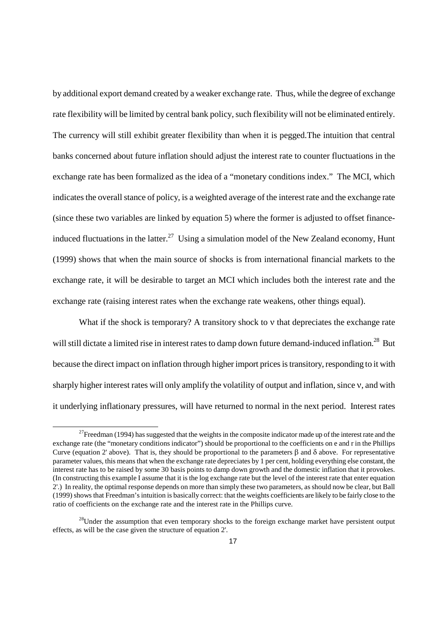by additional export demand created by a weaker exchange rate. Thus, while the degree of exchange rate flexibility will be limited by central bank policy, such flexibility will not be eliminated entirely. The currency will still exhibit greater flexibility than when it is pegged.The intuition that central banks concerned about future inflation should adjust the interest rate to counter fluctuations in the exchange rate has been formalized as the idea of a "monetary conditions index." The MCI, which indicates the overall stance of policy, is a weighted average of the interest rate and the exchange rate (since these two variables are linked by equation 5) where the former is adjusted to offset financeinduced fluctuations in the latter.<sup>27</sup> Using a simulation model of the New Zealand economy, Hunt (1999) shows that when the main source of shocks is from international financial markets to the exchange rate, it will be desirable to target an MCI which includes both the interest rate and the exchange rate (raising interest rates when the exchange rate weakens, other things equal).

What if the shock is temporary? A transitory shock to ν that depreciates the exchange rate will still dictate a limited rise in interest rates to damp down future demand-induced inflation.<sup>28</sup> But because the direct impact on inflation through higher import prices is transitory, responding to it with sharply higher interest rates will only amplify the volatility of output and inflation, since ν, and with it underlying inflationary pressures, will have returned to normal in the next period. Interest rates

<sup>&</sup>lt;sup>27</sup>Freedman (1994) has suggested that the weights in the composite indicator made up of the interest rate and the exchange rate (the "monetary conditions indicator") should be proportional to the coefficients on e and r in the Phillips Curve (equation 2' above). That is, they should be proportional to the parameters β and δ above. For representative parameter values, this means that when the exchange rate depreciates by 1 per cent, holding everything else constant, the interest rate has to be raised by some 30 basis points to damp down growth and the domestic inflation that it provokes. (In constructing this example I assume that it is the log exchange rate but the level of the interest rate that enter equation 2'.) In reality, the optimal response depends on more than simply these two parameters, as should now be clear, but Ball (1999) shows that Freedman's intuition is basically correct: that the weights coefficients are likely to be fairly close to the ratio of coefficients on the exchange rate and the interest rate in the Phillips curve.

 $28$ Under the assumption that even temporary shocks to the foreign exchange market have persistent output effects, as will be the case given the structure of equation 2'.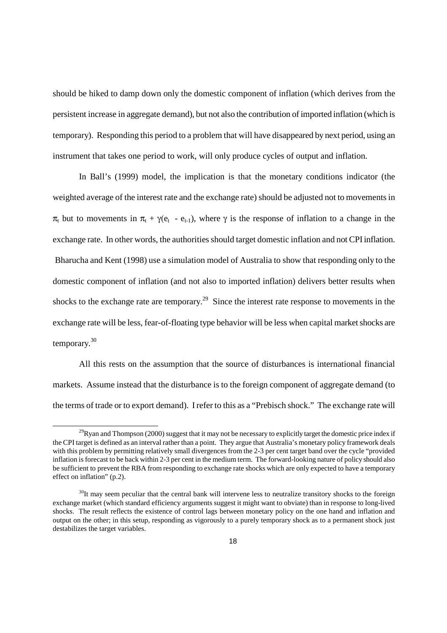should be hiked to damp down only the domestic component of inflation (which derives from the persistent increase in aggregate demand), but not also the contribution of imported inflation (which is temporary). Responding this period to a problem that will have disappeared by next period, using an instrument that takes one period to work, will only produce cycles of output and inflation.

In Ball's (1999) model, the implication is that the monetary conditions indicator (the weighted average of the interest rate and the exchange rate) should be adjusted not to movements in  $\pi_t$  but to movements in  $\pi_t + \gamma(e_t - e_{t-1})$ , where  $\gamma$  is the response of inflation to a change in the exchange rate. In other words, the authorities should target domestic inflation and not CPI inflation. Bharucha and Kent (1998) use a simulation model of Australia to show that responding only to the domestic component of inflation (and not also to imported inflation) delivers better results when shocks to the exchange rate are temporary.<sup>29</sup> Since the interest rate response to movements in the exchange rate will be less, fear-of-floating type behavior will be less when capital market shocks are temporary.<sup>30</sup>

All this rests on the assumption that the source of disturbances is international financial markets. Assume instead that the disturbance is to the foreign component of aggregate demand (to the terms of trade or to export demand). I refer to this as a "Prebisch shock." The exchange rate will

<sup>&</sup>lt;sup>29</sup>Ryan and Thompson (2000) suggest that it may not be necessary to explicitly target the domestic price index if the CPI target is defined as an interval rather than a point. They argue that Australia's monetary policy framework deals with this problem by permitting relatively small divergences from the 2-3 per cent target band over the cycle "provided inflation is forecast to be back within 2-3 per cent in the medium term. The forward-looking nature of policy should also be sufficient to prevent the RBA from responding to exchange rate shocks which are only expected to have a temporary effect on inflation" (p.2).

 $30$ It may seem peculiar that the central bank will intervene less to neutralize transitory shocks to the foreign exchange market (which standard efficiency arguments suggest it might want to obviate) than in response to long-lived shocks. The result reflects the existence of control lags between monetary policy on the one hand and inflation and output on the other; in this setup, responding as vigorously to a purely temporary shock as to a permanent shock just destabilizes the target variables.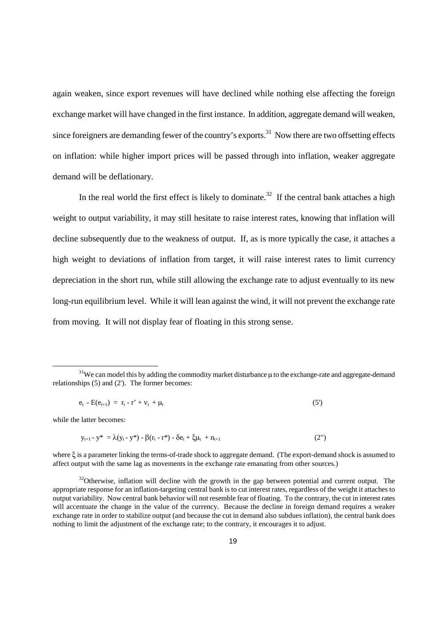again weaken, since export revenues will have declined while nothing else affecting the foreign exchange market will have changed in the first instance. In addition, aggregate demand will weaken, since foreigners are demanding fewer of the country's exports.<sup>31</sup> Now there are two offsetting effects on inflation: while higher import prices will be passed through into inflation, weaker aggregate demand will be deflationary.

In the real world the first effect is likely to dominate.<sup>32</sup> If the central bank attaches a high weight to output variability, it may still hesitate to raise interest rates, knowing that inflation will decline subsequently due to the weakness of output. If, as is more typically the case, it attaches a high weight to deviations of inflation from target, it will raise interest rates to limit currency depreciation in the short run, while still allowing the exchange rate to adjust eventually to its new long-run equilibrium level. While it will lean against the wind, it will not prevent the exchange rate from moving. It will not display fear of floating in this strong sense.

$$
e_t - E(e_{t+1}) = r_t - r' + \nu_t + \mu_t \tag{5'}
$$

while the latter becomes:

 $y_{t+1} - y^* = \lambda (y_t - y^*) - \beta (r_t - r^*) - \delta e_t + \xi \mu_t + n_{t+1}$  (2")

where ξ is a parameter linking the terms-of-trade shock to aggregate demand. (The export-demand shock is assumed to affect output with the same lag as movements in the exchange rate emanating from other sources.)

 $31$ We can model this by adding the commodity market disturbance  $\mu$  to the exchange-rate and aggregate-demand relationships (5) and (2'). The former becomes:

 $32$ Otherwise, inflation will decline with the growth in the gap between potential and current output. The appropriate response for an inflation-targeting central bank is to cut interest rates, regardless of the weight it attaches to output variability. Now central bank behavior will not resemble fear of floating. To the contrary, the cut in interest rates will accentuate the change in the value of the currency. Because the decline in foreign demand requires a weaker exchange rate in order to stabilize output (and because the cut in demand also subdues inflation), the central bank does nothing to limit the adjustment of the exchange rate; to the contrary, it encourages it to adjust.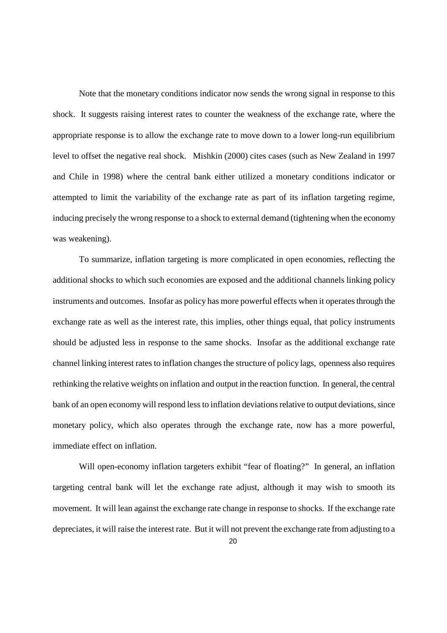Note that the monetary conditions indicator now sends the wrong signal in response to this shock. It suggests raising interest rates to counter the weakness of the exchange rate, where the appropriate response is to allow the exchange rate to move down to a lower long-run equilibrium level to offset the negative real shock. Mishkin (2000) cites cases (such as New Zealand in 1997 and Chile in 1998) where the central bank either utilized a monetary conditions indicator or attempted to limit the variability of the exchange rate as part of its inflation targeting regime, inducing precisely the wrong response to a shock to external demand (tightening when the economy was weakening).

To summarize, inflation targeting is more complicated in open economies, reflecting the additional shocks to which such economies are exposed and the additional channels linking policy instruments and outcomes. Insofar as policy has more powerful effects when it operates through the exchange rate as well as the interest rate, this implies, other things equal, that policy instruments should be adjusted less in response to the same shocks. Insofar as the additional exchange rate channel linking interest rates to inflation changes the structure of policy lags, openness also requires rethinking the relative weights on inflation and output in the reaction function. In general, the central bank of an open economy will respond less to inflation deviations relative to output deviations, since monetary policy, which also operates through the exchange rate, now has a more powerful, immediate effect on inflation.

Will open-economy inflation targeters exhibit "fear of floating?" In general, an inflation targeting central bank will let the exchange rate adjust, although it may wish to smooth its movement. It will lean against the exchange rate change in response to shocks. If the exchange rate depreciates, it will raise the interest rate. But it will not prevent the exchange rate from adjusting to a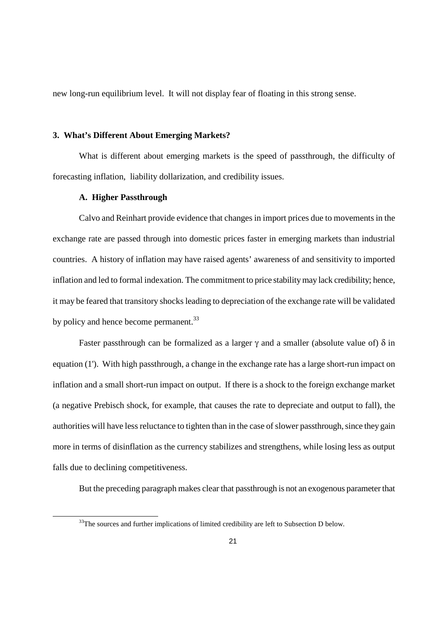new long-run equilibrium level. It will not display fear of floating in this strong sense.

#### **3. What's Different About Emerging Markets?**

What is different about emerging markets is the speed of passthrough, the difficulty of forecasting inflation, liability dollarization, and credibility issues.

#### **A. Higher Passthrough**

Calvo and Reinhart provide evidence that changes in import prices due to movements in the exchange rate are passed through into domestic prices faster in emerging markets than industrial countries. A history of inflation may have raised agents' awareness of and sensitivity to imported inflation and led to formal indexation. The commitment to price stability may lack credibility; hence, it may be feared that transitory shocks leading to depreciation of the exchange rate will be validated by policy and hence become permanent.<sup>33</sup>

Faster passthrough can be formalized as a larger  $\gamma$  and a smaller (absolute value of)  $\delta$  in equation (1'). With high passthrough, a change in the exchange rate has a large short-run impact on inflation and a small short-run impact on output. If there is a shock to the foreign exchange market (a negative Prebisch shock, for example, that causes the rate to depreciate and output to fall), the authorities will have less reluctance to tighten than in the case of slower passthrough, since they gain more in terms of disinflation as the currency stabilizes and strengthens, while losing less as output falls due to declining competitiveness.

But the preceding paragraph makes clear that passthrough is not an exogenous parameter that

 $33$ The sources and further implications of limited credibility are left to Subsection D below.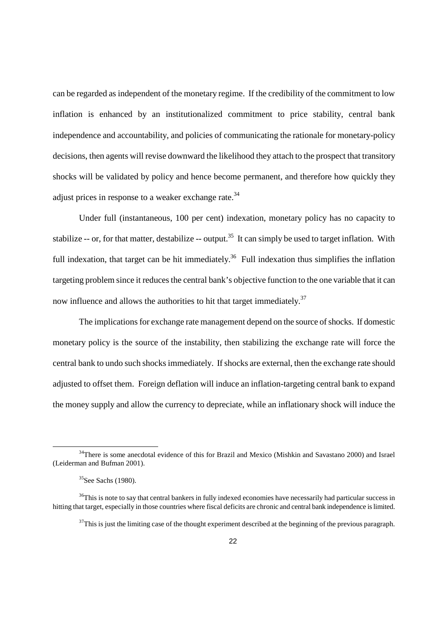can be regarded as independent of the monetary regime. If the credibility of the commitment to low inflation is enhanced by an institutionalized commitment to price stability, central bank independence and accountability, and policies of communicating the rationale for monetary-policy decisions, then agents will revise downward the likelihood they attach to the prospect that transitory shocks will be validated by policy and hence become permanent, and therefore how quickly they adjust prices in response to a weaker exchange rate.<sup>34</sup>

Under full (instantaneous, 100 per cent) indexation, monetary policy has no capacity to stabilize -- or, for that matter, destabilize -- output.<sup>35</sup> It can simply be used to target inflation. With full indexation, that target can be hit immediately.<sup>36</sup> Full indexation thus simplifies the inflation targeting problem since it reduces the central bank's objective function to the one variable that it can now influence and allows the authorities to hit that target immediately.<sup>37</sup>

The implications for exchange rate management depend on the source of shocks. If domestic monetary policy is the source of the instability, then stabilizing the exchange rate will force the central bank to undo such shocks immediately. If shocks are external, then the exchange rate should adjusted to offset them. Foreign deflation will induce an inflation-targeting central bank to expand the money supply and allow the currency to depreciate, while an inflationary shock will induce the

<sup>&</sup>lt;sup>34</sup>There is some anecdotal evidence of this for Brazil and Mexico (Mishkin and Savastano 2000) and Israel (Leiderman and Bufman 2001).

<sup>&</sup>lt;sup>35</sup>See Sachs (1980).

<sup>&</sup>lt;sup>36</sup>This is note to say that central bankers in fully indexed economies have necessarily had particular success in hitting that target, especially in those countries where fiscal deficits are chronic and central bank independence is limited.

 $37$ This is just the limiting case of the thought experiment described at the beginning of the previous paragraph.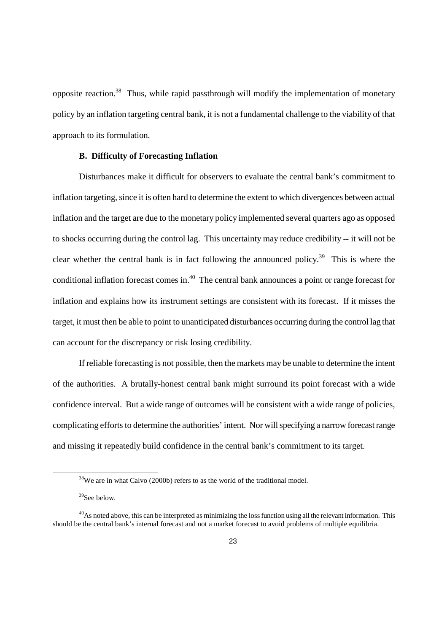opposite reaction.38 Thus, while rapid passthrough will modify the implementation of monetary policy by an inflation targeting central bank, it is not a fundamental challenge to the viability of that approach to its formulation.

#### **B. Difficulty of Forecasting Inflation**

Disturbances make it difficult for observers to evaluate the central bank's commitment to inflation targeting, since it is often hard to determine the extent to which divergences between actual inflation and the target are due to the monetary policy implemented several quarters ago as opposed to shocks occurring during the control lag. This uncertainty may reduce credibility -- it will not be clear whether the central bank is in fact following the announced policy.<sup>39</sup> This is where the conditional inflation forecast comes in.<sup>40</sup> The central bank announces a point or range forecast for inflation and explains how its instrument settings are consistent with its forecast. If it misses the target, it must then be able to point to unanticipated disturbances occurring during the control lag that can account for the discrepancy or risk losing credibility.

If reliable forecasting is not possible, then the markets may be unable to determine the intent of the authorities. A brutally-honest central bank might surround its point forecast with a wide confidence interval. But a wide range of outcomes will be consistent with a wide range of policies, complicating efforts to determine the authorities' intent. Nor will specifying a narrow forecast range and missing it repeatedly build confidence in the central bank's commitment to its target.

 $38$ We are in what Calvo (2000b) refers to as the world of the traditional model.

<sup>&</sup>lt;sup>39</sup>See below.

 $^{40}$ As noted above, this can be interpreted as minimizing the loss function using all the relevant information. This should be the central bank's internal forecast and not a market forecast to avoid problems of multiple equilibria.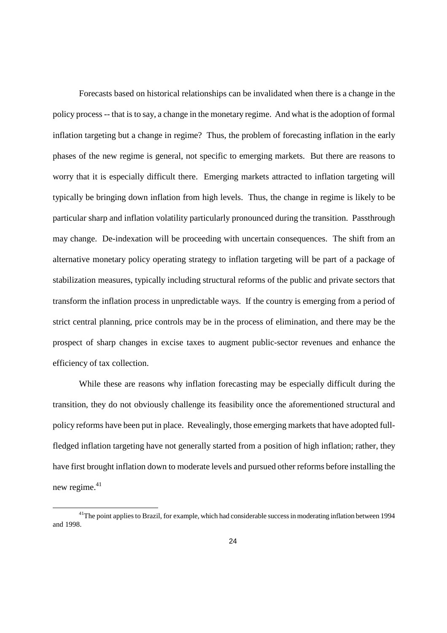Forecasts based on historical relationships can be invalidated when there is a change in the policy process -- that is to say, a change in the monetary regime. And what is the adoption of formal inflation targeting but a change in regime? Thus, the problem of forecasting inflation in the early phases of the new regime is general, not specific to emerging markets. But there are reasons to worry that it is especially difficult there. Emerging markets attracted to inflation targeting will typically be bringing down inflation from high levels. Thus, the change in regime is likely to be particular sharp and inflation volatility particularly pronounced during the transition. Passthrough may change. De-indexation will be proceeding with uncertain consequences. The shift from an alternative monetary policy operating strategy to inflation targeting will be part of a package of stabilization measures, typically including structural reforms of the public and private sectors that transform the inflation process in unpredictable ways. If the country is emerging from a period of strict central planning, price controls may be in the process of elimination, and there may be the prospect of sharp changes in excise taxes to augment public-sector revenues and enhance the efficiency of tax collection.

While these are reasons why inflation forecasting may be especially difficult during the transition, they do not obviously challenge its feasibility once the aforementioned structural and policy reforms have been put in place. Revealingly, those emerging markets that have adopted fullfledged inflation targeting have not generally started from a position of high inflation; rather, they have first brought inflation down to moderate levels and pursued other reforms before installing the new regime. $41$ 

<sup>&</sup>lt;sup>41</sup>The point applies to Brazil, for example, which had considerable success in moderating inflation between 1994 and 1998.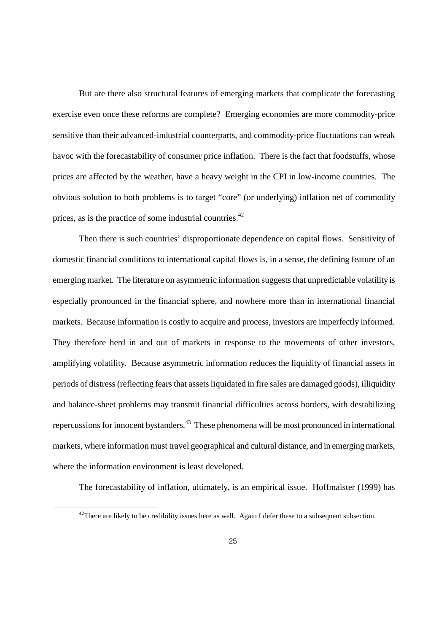But are there also structural features of emerging markets that complicate the forecasting exercise even once these reforms are complete? Emerging economies are more commodity-price sensitive than their advanced-industrial counterparts, and commodity-price fluctuations can wreak havoc with the forecastability of consumer price inflation. There is the fact that foodstuffs, whose prices are affected by the weather, have a heavy weight in the CPI in low-income countries. The obvious solution to both problems is to target "core" (or underlying) inflation net of commodity prices, as is the practice of some industrial countries.42

Then there is such countries' disproportionate dependence on capital flows. Sensitivity of domestic financial conditions to international capital flows is, in a sense, the defining feature of an emerging market. The literature on asymmetric information suggests that unpredictable volatility is especially pronounced in the financial sphere, and nowhere more than in international financial markets. Because information is costly to acquire and process, investors are imperfectly informed. They therefore herd in and out of markets in response to the movements of other investors, amplifying volatility. Because asymmetric information reduces the liquidity of financial assets in periods of distress (reflecting fears that assets liquidated in fire sales are damaged goods), illiquidity and balance-sheet problems may transmit financial difficulties across borders, with destabilizing repercussions for innocent bystanders.<sup>43</sup> These phenomena will be most pronounced in international markets, where information must travel geographical and cultural distance, and in emerging markets, where the information environment is least developed.

The forecastability of inflation, ultimately, is an empirical issue. Hoffmaister (1999) has

 $42$ There are likely to be credibility issues here as well. Again I defer these to a subsequent subsection.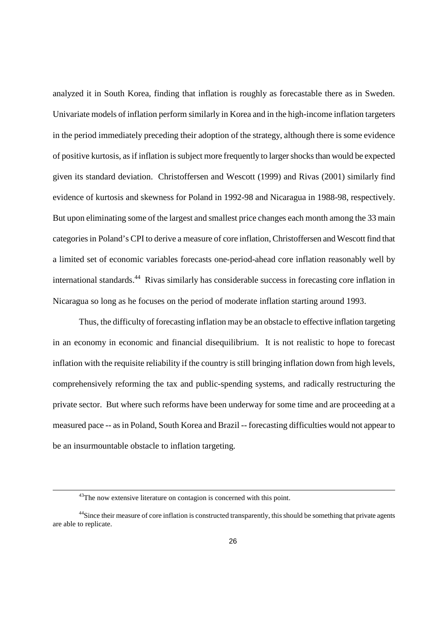analyzed it in South Korea, finding that inflation is roughly as forecastable there as in Sweden. Univariate models of inflation perform similarly in Korea and in the high-income inflation targeters in the period immediately preceding their adoption of the strategy, although there is some evidence of positive kurtosis, as if inflation is subject more frequently to larger shocks than would be expected given its standard deviation. Christoffersen and Wescott (1999) and Rivas (2001) similarly find evidence of kurtosis and skewness for Poland in 1992-98 and Nicaragua in 1988-98, respectively. But upon eliminating some of the largest and smallest price changes each month among the 33 main categories in Poland's CPI to derive a measure of core inflation, Christoffersen and Wescott find that a limited set of economic variables forecasts one-period-ahead core inflation reasonably well by international standards.44 Rivas similarly has considerable success in forecasting core inflation in Nicaragua so long as he focuses on the period of moderate inflation starting around 1993.

Thus, the difficulty of forecasting inflation may be an obstacle to effective inflation targeting in an economy in economic and financial disequilibrium. It is not realistic to hope to forecast inflation with the requisite reliability if the country is still bringing inflation down from high levels, comprehensively reforming the tax and public-spending systems, and radically restructuring the private sector. But where such reforms have been underway for some time and are proceeding at a measured pace -- as in Poland, South Korea and Brazil -- forecasting difficulties would not appear to be an insurmountable obstacle to inflation targeting.

<sup>&</sup>lt;sup>43</sup>The now extensive literature on contagion is concerned with this point.

<sup>&</sup>lt;sup>44</sup>Since their measure of core inflation is constructed transparently, this should be something that private agents are able to replicate.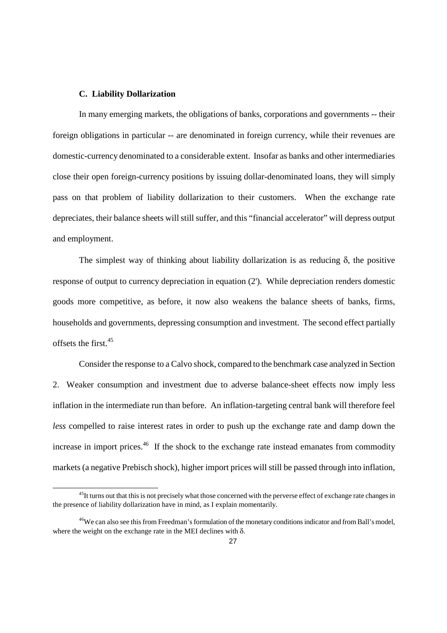#### **C. Liability Dollarization**

In many emerging markets, the obligations of banks, corporations and governments -- their foreign obligations in particular -- are denominated in foreign currency, while their revenues are domestic-currency denominated to a considerable extent. Insofar as banks and other intermediaries close their open foreign-currency positions by issuing dollar-denominated loans, they will simply pass on that problem of liability dollarization to their customers. When the exchange rate depreciates, their balance sheets will still suffer, and this "financial accelerator" will depress output and employment.

The simplest way of thinking about liability dollarization is as reducing  $\delta$ , the positive response of output to currency depreciation in equation (2'). While depreciation renders domestic goods more competitive, as before, it now also weakens the balance sheets of banks, firms, households and governments, depressing consumption and investment. The second effect partially offsets the first.<sup>45</sup>

Consider the response to a Calvo shock, compared to the benchmark case analyzed in Section 2. Weaker consumption and investment due to adverse balance-sheet effects now imply less inflation in the intermediate run than before. An inflation-targeting central bank will therefore feel *less* compelled to raise interest rates in order to push up the exchange rate and damp down the increase in import prices.<sup>46</sup> If the shock to the exchange rate instead emanates from commodity markets (a negative Prebisch shock), higher import prices will still be passed through into inflation,

<sup>&</sup>lt;sup>45</sup>It turns out that this is not precisely what those concerned with the perverse effect of exchange rate changes in the presence of liability dollarization have in mind, as I explain momentarily.

<sup>&</sup>lt;sup>46</sup>We can also see this from Freedman's formulation of the monetary conditions indicator and from Ball's model, where the weight on the exchange rate in the MEI declines with  $\delta$ .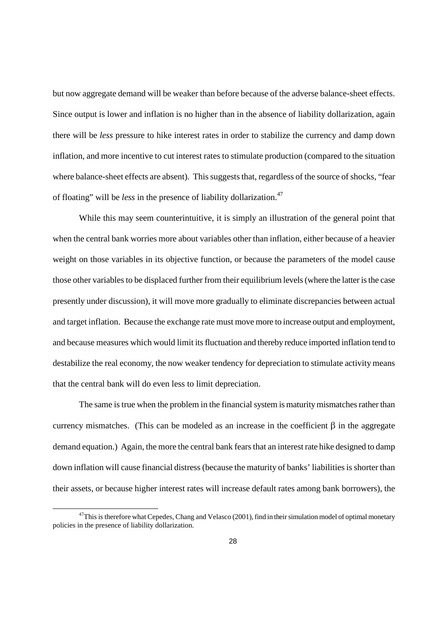but now aggregate demand will be weaker than before because of the adverse balance-sheet effects. Since output is lower and inflation is no higher than in the absence of liability dollarization, again there will be *less* pressure to hike interest rates in order to stabilize the currency and damp down inflation, and more incentive to cut interest rates to stimulate production (compared to the situation where balance-sheet effects are absent). This suggests that, regardless of the source of shocks, "fear of floating" will be *less* in the presence of liability dollarization.47

While this may seem counterintuitive, it is simply an illustration of the general point that when the central bank worries more about variables other than inflation, either because of a heavier weight on those variables in its objective function, or because the parameters of the model cause those other variables to be displaced further from their equilibrium levels (where the latter is the case presently under discussion), it will move more gradually to eliminate discrepancies between actual and target inflation. Because the exchange rate must move more to increase output and employment, and because measures which would limit its fluctuation and thereby reduce imported inflation tend to destabilize the real economy, the now weaker tendency for depreciation to stimulate activity means that the central bank will do even less to limit depreciation.

The same is true when the problem in the financial system is maturity mismatches rather than currency mismatches. (This can be modeled as an increase in the coefficient  $\beta$  in the aggregate demand equation.) Again, the more the central bank fears that an interest rate hike designed to damp down inflation will cause financial distress (because the maturity of banks' liabilities is shorter than their assets, or because higher interest rates will increase default rates among bank borrowers), the

 $47$ This is therefore what Cepedes, Chang and Velasco (2001), find in their simulation model of optimal monetary policies in the presence of liability dollarization.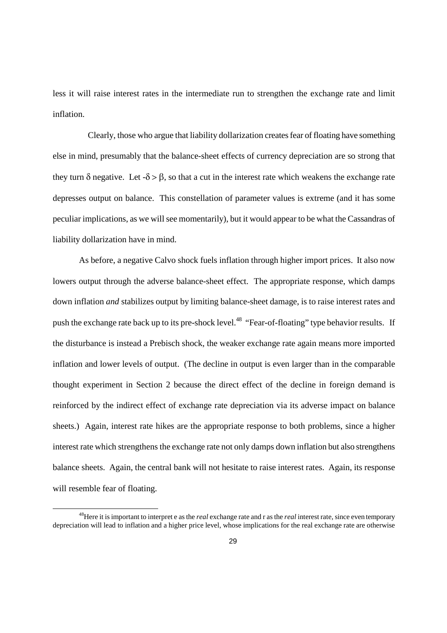less it will raise interest rates in the intermediate run to strengthen the exchange rate and limit inflation.

 Clearly, those who argue that liability dollarization creates fear of floating have something else in mind, presumably that the balance-sheet effects of currency depreciation are so strong that they turn  $\delta$  negative. Let  $-\delta > \beta$ , so that a cut in the interest rate which weakens the exchange rate depresses output on balance. This constellation of parameter values is extreme (and it has some peculiar implications, as we will see momentarily), but it would appear to be what the Cassandras of liability dollarization have in mind.

As before, a negative Calvo shock fuels inflation through higher import prices. It also now lowers output through the adverse balance-sheet effect. The appropriate response, which damps down inflation *and* stabilizes output by limiting balance-sheet damage, is to raise interest rates and push the exchange rate back up to its pre-shock level.<sup>48</sup> "Fear-of-floating" type behavior results. If the disturbance is instead a Prebisch shock, the weaker exchange rate again means more imported inflation and lower levels of output. (The decline in output is even larger than in the comparable thought experiment in Section 2 because the direct effect of the decline in foreign demand is reinforced by the indirect effect of exchange rate depreciation via its adverse impact on balance sheets.) Again, interest rate hikes are the appropriate response to both problems, since a higher interest rate which strengthens the exchange rate not only damps down inflation but also strengthens balance sheets. Again, the central bank will not hesitate to raise interest rates. Again, its response will resemble fear of floating.

 <sup>48</sup>Here it is important to interpret e as the *real* exchange rate and r as the *real* interest rate, since even temporary depreciation will lead to inflation and a higher price level, whose implications for the real exchange rate are otherwise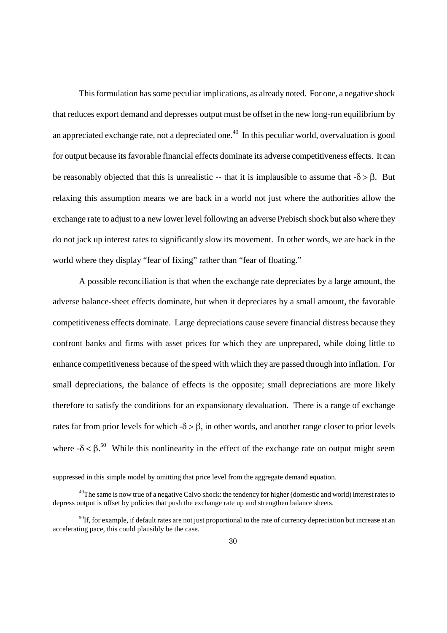This formulation has some peculiar implications, as already noted. For one, a negative shock that reduces export demand and depresses output must be offset in the new long-run equilibrium by an appreciated exchange rate, not a depreciated one.<sup>49</sup> In this peculiar world, overvaluation is good for output because its favorable financial effects dominate its adverse competitiveness effects. It can be reasonably objected that this is unrealistic -- that it is implausible to assume that  $-\delta > \beta$ . But relaxing this assumption means we are back in a world not just where the authorities allow the exchange rate to adjust to a new lower level following an adverse Prebisch shock but also where they do not jack up interest rates to significantly slow its movement. In other words, we are back in the world where they display "fear of fixing" rather than "fear of floating."

A possible reconciliation is that when the exchange rate depreciates by a large amount, the adverse balance-sheet effects dominate, but when it depreciates by a small amount, the favorable competitiveness effects dominate. Large depreciations cause severe financial distress because they confront banks and firms with asset prices for which they are unprepared, while doing little to enhance competitiveness because of the speed with which they are passed through into inflation. For small depreciations, the balance of effects is the opposite; small depreciations are more likely therefore to satisfy the conditions for an expansionary devaluation. There is a range of exchange rates far from prior levels for which  $-δ$  > β, in other words, and another range closer to prior levels where  $-\delta < \beta$ .<sup>50</sup> While this nonlinearity in the effect of the exchange rate on output might seem

l

suppressed in this simple model by omitting that price level from the aggregate demand equation.

<sup>&</sup>lt;sup>49</sup>The same is now true of a negative Calvo shock: the tendency for higher (domestic and world) interest rates to depress output is offset by policies that push the exchange rate up and strengthen balance sheets.

 $<sup>50</sup>$ If, for example, if default rates are not just proportional to the rate of currency depreciation but increase at an</sup> accelerating pace, this could plausibly be the case.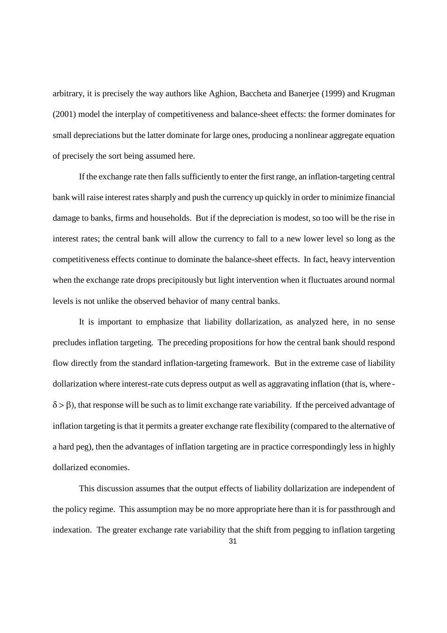arbitrary, it is precisely the way authors like Aghion, Baccheta and Banerjee (1999) and Krugman (2001) model the interplay of competitiveness and balance-sheet effects: the former dominates for small depreciations but the latter dominate for large ones, producing a nonlinear aggregate equation of precisely the sort being assumed here.

If the exchange rate then falls sufficiently to enter the first range, an inflation-targeting central bank will raise interest rates sharply and push the currency up quickly in order to minimize financial damage to banks, firms and households. But if the depreciation is modest, so too will be the rise in interest rates; the central bank will allow the currency to fall to a new lower level so long as the competitiveness effects continue to dominate the balance-sheet effects. In fact, heavy intervention when the exchange rate drops precipitously but light intervention when it fluctuates around normal levels is not unlike the observed behavior of many central banks.

It is important to emphasize that liability dollarization, as analyzed here, in no sense precludes inflation targeting. The preceding propositions for how the central bank should respond flow directly from the standard inflation-targeting framework. But in the extreme case of liability dollarization where interest-rate cuts depress output as well as aggravating inflation (that is, where  $δ > β$ ), that response will be such as to limit exchange rate variability. If the perceived advantage of inflation targeting is that it permits a greater exchange rate flexibility (compared to the alternative of a hard peg), then the advantages of inflation targeting are in practice correspondingly less in highly dollarized economies.

This discussion assumes that the output effects of liability dollarization are independent of the policy regime. This assumption may be no more appropriate here than it is for passthrough and indexation. The greater exchange rate variability that the shift from pegging to inflation targeting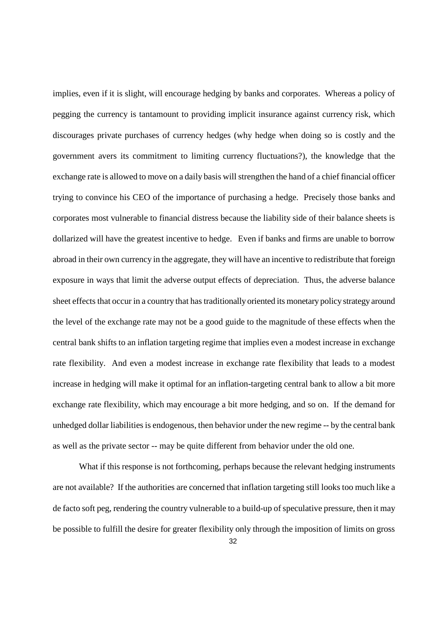implies, even if it is slight, will encourage hedging by banks and corporates. Whereas a policy of pegging the currency is tantamount to providing implicit insurance against currency risk, which discourages private purchases of currency hedges (why hedge when doing so is costly and the government avers its commitment to limiting currency fluctuations?), the knowledge that the exchange rate is allowed to move on a daily basis will strengthen the hand of a chief financial officer trying to convince his CEO of the importance of purchasing a hedge. Precisely those banks and corporates most vulnerable to financial distress because the liability side of their balance sheets is dollarized will have the greatest incentive to hedge. Even if banks and firms are unable to borrow abroad in their own currency in the aggregate, they will have an incentive to redistribute that foreign exposure in ways that limit the adverse output effects of depreciation. Thus, the adverse balance sheet effects that occur in a country that has traditionally oriented its monetary policy strategy around the level of the exchange rate may not be a good guide to the magnitude of these effects when the central bank shifts to an inflation targeting regime that implies even a modest increase in exchange rate flexibility. And even a modest increase in exchange rate flexibility that leads to a modest increase in hedging will make it optimal for an inflation-targeting central bank to allow a bit more exchange rate flexibility, which may encourage a bit more hedging, and so on. If the demand for unhedged dollar liabilities is endogenous, then behavior under the new regime -- by the central bank as well as the private sector -- may be quite different from behavior under the old one.

What if this response is not forthcoming, perhaps because the relevant hedging instruments are not available? If the authorities are concerned that inflation targeting still looks too much like a de facto soft peg, rendering the country vulnerable to a build-up of speculative pressure, then it may be possible to fulfill the desire for greater flexibility only through the imposition of limits on gross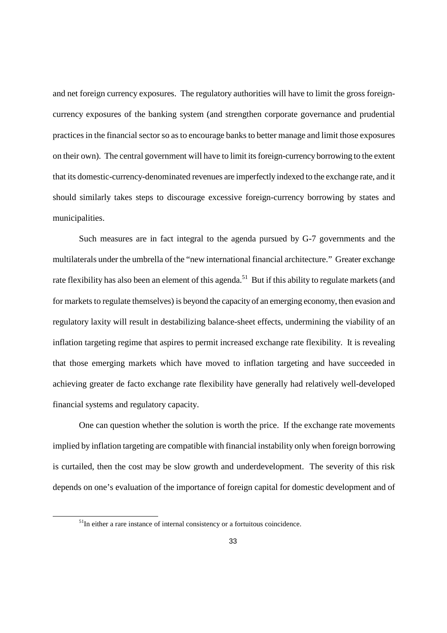and net foreign currency exposures. The regulatory authorities will have to limit the gross foreigncurrency exposures of the banking system (and strengthen corporate governance and prudential practices in the financial sector so as to encourage banks to better manage and limit those exposures on their own). The central government will have to limit its foreign-currency borrowing to the extent that its domestic-currency-denominated revenues are imperfectly indexed to the exchange rate, and it should similarly takes steps to discourage excessive foreign-currency borrowing by states and municipalities.

Such measures are in fact integral to the agenda pursued by G-7 governments and the multilaterals under the umbrella of the "new international financial architecture." Greater exchange rate flexibility has also been an element of this agenda.<sup>51</sup> But if this ability to regulate markets (and for markets to regulate themselves) is beyond the capacity of an emerging economy, then evasion and regulatory laxity will result in destabilizing balance-sheet effects, undermining the viability of an inflation targeting regime that aspires to permit increased exchange rate flexibility. It is revealing that those emerging markets which have moved to inflation targeting and have succeeded in achieving greater de facto exchange rate flexibility have generally had relatively well-developed financial systems and regulatory capacity.

One can question whether the solution is worth the price. If the exchange rate movements implied by inflation targeting are compatible with financial instability only when foreign borrowing is curtailed, then the cost may be slow growth and underdevelopment. The severity of this risk depends on one's evaluation of the importance of foreign capital for domestic development and of

 $<sup>51</sup>$ In either a rare instance of internal consistency or a fortuitous coincidence.</sup>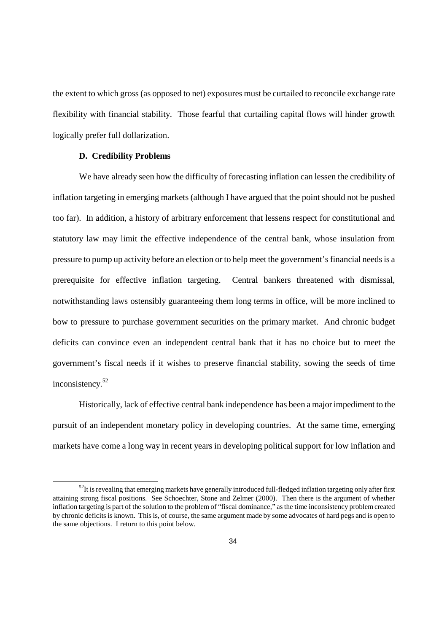the extent to which gross (as opposed to net) exposures must be curtailed to reconcile exchange rate flexibility with financial stability. Those fearful that curtailing capital flows will hinder growth logically prefer full dollarization.

#### **D. Credibility Problems**

We have already seen how the difficulty of forecasting inflation can lessen the credibility of inflation targeting in emerging markets (although I have argued that the point should not be pushed too far). In addition, a history of arbitrary enforcement that lessens respect for constitutional and statutory law may limit the effective independence of the central bank, whose insulation from pressure to pump up activity before an election or to help meet the government's financial needs is a prerequisite for effective inflation targeting. Central bankers threatened with dismissal, notwithstanding laws ostensibly guaranteeing them long terms in office, will be more inclined to bow to pressure to purchase government securities on the primary market. And chronic budget deficits can convince even an independent central bank that it has no choice but to meet the government's fiscal needs if it wishes to preserve financial stability, sowing the seeds of time inconsistency.52

Historically, lack of effective central bank independence has been a major impediment to the pursuit of an independent monetary policy in developing countries. At the same time, emerging markets have come a long way in recent years in developing political support for low inflation and

 $52$ It is revealing that emerging markets have generally introduced full-fledged inflation targeting only after first attaining strong fiscal positions. See Schoechter, Stone and Zelmer (2000). Then there is the argument of whether inflation targeting is part of the solution to the problem of "fiscal dominance," as the time inconsistency problem created by chronic deficits is known. This is, of course, the same argument made by some advocates of hard pegs and is open to the same objections. I return to this point below.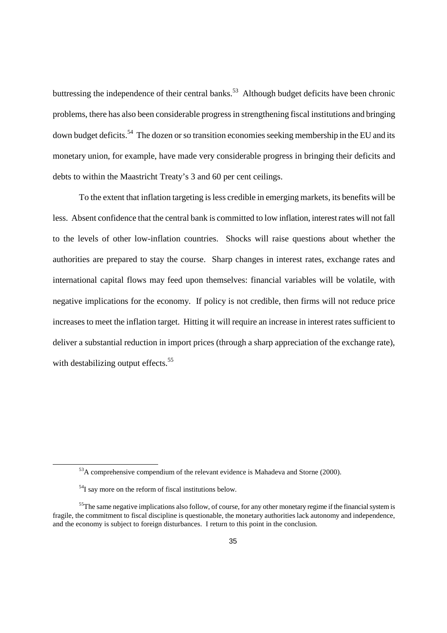buttressing the independence of their central banks.<sup>53</sup> Although budget deficits have been chronic problems, there has also been considerable progress in strengthening fiscal institutions and bringing down budget deficits.<sup>54</sup> The dozen or so transition economies seeking membership in the EU and its monetary union, for example, have made very considerable progress in bringing their deficits and debts to within the Maastricht Treaty's 3 and 60 per cent ceilings.

To the extent that inflation targeting is less credible in emerging markets, its benefits will be less. Absent confidence that the central bank is committed to low inflation, interest rates will not fall to the levels of other low-inflation countries. Shocks will raise questions about whether the authorities are prepared to stay the course. Sharp changes in interest rates, exchange rates and international capital flows may feed upon themselves: financial variables will be volatile, with negative implications for the economy. If policy is not credible, then firms will not reduce price increases to meet the inflation target. Hitting it will require an increase in interest rates sufficient to deliver a substantial reduction in import prices (through a sharp appreciation of the exchange rate), with destabilizing output effects.<sup>55</sup>

 <sup>53</sup>A comprehensive compendium of the relevant evidence is Mahadeva and Storne (2000).

<sup>54</sup>I say more on the reform of fiscal institutions below.

 $<sup>55</sup>$ The same negative implications also follow, of course, for any other monetary regime if the financial system is</sup> fragile, the commitment to fiscal discipline is questionable, the monetary authorities lack autonomy and independence, and the economy is subject to foreign disturbances. I return to this point in the conclusion.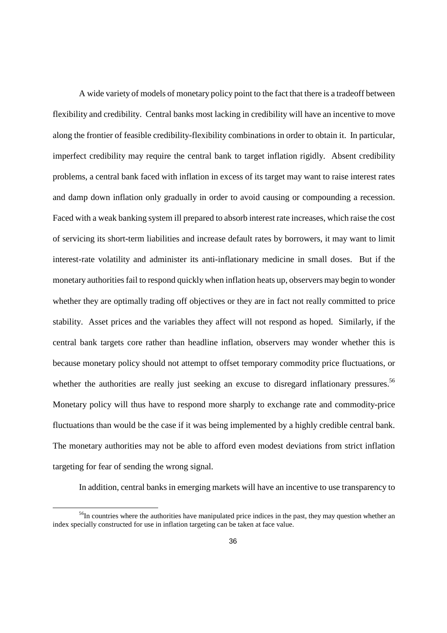A wide variety of models of monetary policy point to the fact that there is a tradeoff between flexibility and credibility. Central banks most lacking in credibility will have an incentive to move along the frontier of feasible credibility-flexibility combinations in order to obtain it. In particular, imperfect credibility may require the central bank to target inflation rigidly. Absent credibility problems, a central bank faced with inflation in excess of its target may want to raise interest rates and damp down inflation only gradually in order to avoid causing or compounding a recession. Faced with a weak banking system ill prepared to absorb interest rate increases, which raise the cost of servicing its short-term liabilities and increase default rates by borrowers, it may want to limit interest-rate volatility and administer its anti-inflationary medicine in small doses. But if the monetary authorities fail to respond quickly when inflation heats up, observers may begin to wonder whether they are optimally trading off objectives or they are in fact not really committed to price stability. Asset prices and the variables they affect will not respond as hoped. Similarly, if the central bank targets core rather than headline inflation, observers may wonder whether this is because monetary policy should not attempt to offset temporary commodity price fluctuations, or whether the authorities are really just seeking an excuse to disregard inflationary pressures.<sup>56</sup> Monetary policy will thus have to respond more sharply to exchange rate and commodity-price fluctuations than would be the case if it was being implemented by a highly credible central bank. The monetary authorities may not be able to afford even modest deviations from strict inflation targeting for fear of sending the wrong signal.

In addition, central banks in emerging markets will have an incentive to use transparency to

<sup>&</sup>lt;sup>56</sup>In countries where the authorities have manipulated price indices in the past, they may question whether an index specially constructed for use in inflation targeting can be taken at face value.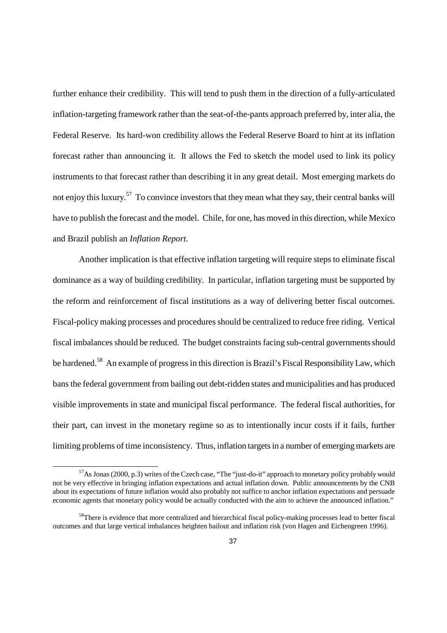further enhance their credibility. This will tend to push them in the direction of a fully-articulated inflation-targeting framework rather than the seat-of-the-pants approach preferred by, inter alia, the Federal Reserve. Its hard-won credibility allows the Federal Reserve Board to hint at its inflation forecast rather than announcing it. It allows the Fed to sketch the model used to link its policy instruments to that forecast rather than describing it in any great detail. Most emerging markets do not enjoy this luxury.<sup>57</sup> To convince investors that they mean what they say, their central banks will have to publish the forecast and the model. Chile, for one, has moved in this direction, while Mexico and Brazil publish an *Inflation Report.*

Another implication is that effective inflation targeting will require steps to eliminate fiscal dominance as a way of building credibility. In particular, inflation targeting must be supported by the reform and reinforcement of fiscal institutions as a way of delivering better fiscal outcomes. Fiscal-policy making processes and procedures should be centralized to reduce free riding. Vertical fiscal imbalances should be reduced. The budget constraints facing sub-central governments should be hardened.<sup>58</sup> An example of progress in this direction is Brazil's Fiscal Responsibility Law, which bans the federal government from bailing out debt-ridden states and municipalities and has produced visible improvements in state and municipal fiscal performance. The federal fiscal authorities, for their part, can invest in the monetary regime so as to intentionally incur costs if it fails, further limiting problems of time inconsistency. Thus, inflation targets in a number of emerging markets are

 <sup>57</sup>As Jonas (2000, p.3) writes of the Czech case, "The "just-do-it" approach to monetary policy probably would not be very effective in bringing inflation expectations and actual inflation down. Public announcements by the CNB about its expectations of future inflation would also probably not suffice to anchor inflation expectations and persuade economic agents that monetary policy would be actually conducted with the aim to achieve the announced inflation."

<sup>&</sup>lt;sup>58</sup>There is evidence that more centralized and hierarchical fiscal policy-making processes lead to better fiscal outcomes and that large vertical imbalances heighten bailout and inflation risk (von Hagen and Eichengreen 1996).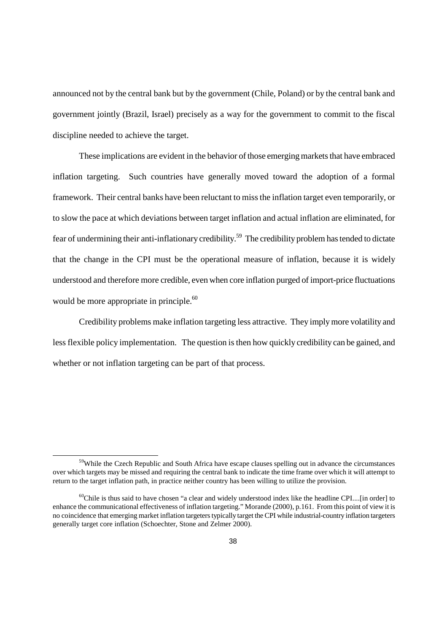announced not by the central bank but by the government (Chile, Poland) or by the central bank and government jointly (Brazil, Israel) precisely as a way for the government to commit to the fiscal discipline needed to achieve the target.

These implications are evident in the behavior of those emerging markets that have embraced inflation targeting. Such countries have generally moved toward the adoption of a formal framework. Their central banks have been reluctant to miss the inflation target even temporarily, or to slow the pace at which deviations between target inflation and actual inflation are eliminated, for fear of undermining their anti-inflationary credibility.59 The credibility problem has tended to dictate that the change in the CPI must be the operational measure of inflation, because it is widely understood and therefore more credible, even when core inflation purged of import-price fluctuations would be more appropriate in principle.<sup>60</sup>

Credibility problems make inflation targeting less attractive. They imply more volatility and less flexible policy implementation. The question is then how quickly credibility can be gained, and whether or not inflation targeting can be part of that process.

<sup>&</sup>lt;sup>59</sup>While the Czech Republic and South Africa have escape clauses spelling out in advance the circumstances over which targets may be missed and requiring the central bank to indicate the time frame over which it will attempt to return to the target inflation path, in practice neither country has been willing to utilize the provision.

 $^{60}$ Chile is thus said to have chosen "a clear and widely understood index like the headline CPI....[in order] to enhance the communicational effectiveness of inflation targeting." Morande (2000), p.161. From this point of view it is no coincidence that emerging market inflation targeters typically target the CPI while industrial-country inflation targeters generally target core inflation (Schoechter, Stone and Zelmer 2000).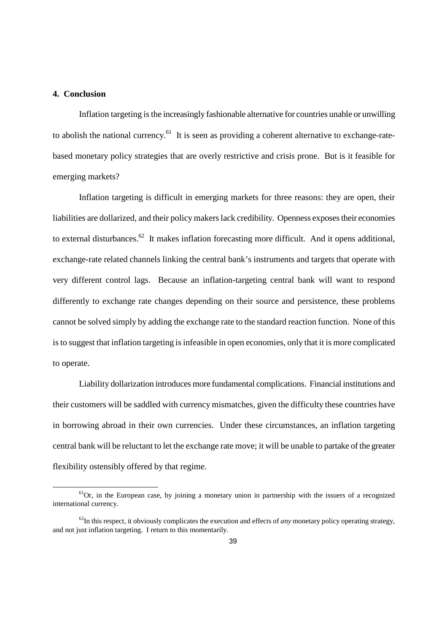#### **4. Conclusion**

Inflation targeting is the increasingly fashionable alternative for countries unable or unwilling to abolish the national currency.<sup>61</sup> It is seen as providing a coherent alternative to exchange-ratebased monetary policy strategies that are overly restrictive and crisis prone. But is it feasible for emerging markets?

Inflation targeting is difficult in emerging markets for three reasons: they are open, their liabilities are dollarized, and their policy makers lack credibility. Openness exposes their economies to external disturbances.62 It makes inflation forecasting more difficult. And it opens additional, exchange-rate related channels linking the central bank's instruments and targets that operate with very different control lags. Because an inflation-targeting central bank will want to respond differently to exchange rate changes depending on their source and persistence, these problems cannot be solved simply by adding the exchange rate to the standard reaction function. None of this is to suggest that inflation targeting is infeasible in open economies, only that it is more complicated to operate.

Liability dollarization introduces more fundamental complications. Financial institutions and their customers will be saddled with currency mismatches, given the difficulty these countries have in borrowing abroad in their own currencies. Under these circumstances, an inflation targeting central bank will be reluctant to let the exchange rate move; it will be unable to partake of the greater flexibility ostensibly offered by that regime.

 $61$ Or, in the European case, by joining a monetary union in partnership with the issuers of a recognized international currency.

<sup>&</sup>lt;sup>62</sup>In this respect, it obviously complicates the execution and effects of *any* monetary policy operating strategy, and not just inflation targeting. I return to this momentarily.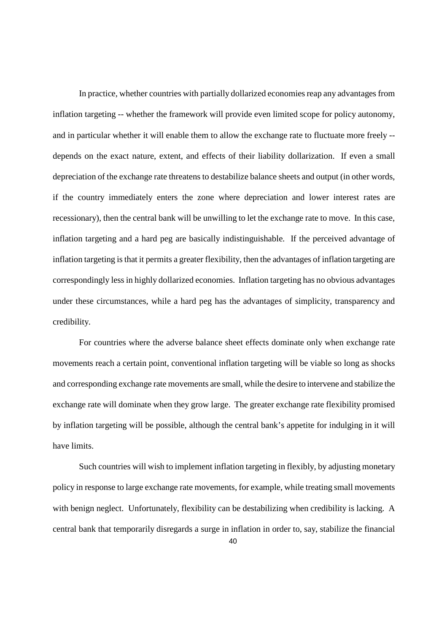In practice, whether countries with partially dollarized economies reap any advantages from inflation targeting -- whether the framework will provide even limited scope for policy autonomy, and in particular whether it will enable them to allow the exchange rate to fluctuate more freely - depends on the exact nature, extent, and effects of their liability dollarization. If even a small depreciation of the exchange rate threatens to destabilize balance sheets and output (in other words, if the country immediately enters the zone where depreciation and lower interest rates are recessionary), then the central bank will be unwilling to let the exchange rate to move. In this case, inflation targeting and a hard peg are basically indistinguishable. If the perceived advantage of inflation targeting is that it permits a greater flexibility, then the advantages of inflation targeting are correspondingly less in highly dollarized economies. Inflation targeting has no obvious advantages under these circumstances, while a hard peg has the advantages of simplicity, transparency and credibility.

For countries where the adverse balance sheet effects dominate only when exchange rate movements reach a certain point, conventional inflation targeting will be viable so long as shocks and corresponding exchange rate movements are small, while the desire to intervene and stabilize the exchange rate will dominate when they grow large. The greater exchange rate flexibility promised by inflation targeting will be possible, although the central bank's appetite for indulging in it will have limits.

Such countries will wish to implement inflation targeting in flexibly, by adjusting monetary policy in response to large exchange rate movements, for example, while treating small movements with benign neglect. Unfortunately, flexibility can be destabilizing when credibility is lacking. A central bank that temporarily disregards a surge in inflation in order to, say, stabilize the financial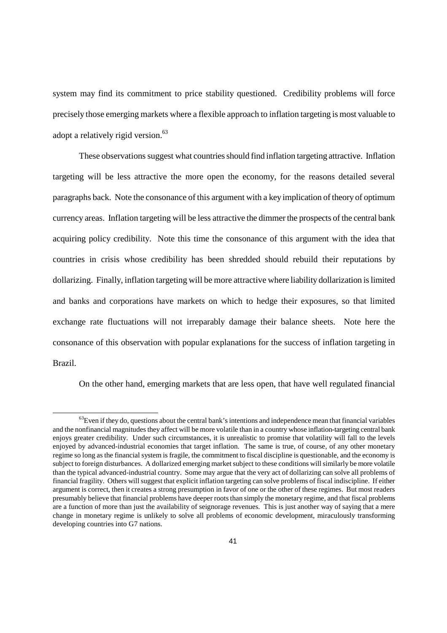system may find its commitment to price stability questioned. Credibility problems will force precisely those emerging markets where a flexible approach to inflation targeting is most valuable to adopt a relatively rigid version.<sup>63</sup>

These observations suggest what countries should find inflation targeting attractive. Inflation targeting will be less attractive the more open the economy, for the reasons detailed several paragraphs back. Note the consonance of this argument with a key implication of theory of optimum currency areas. Inflation targeting will be less attractive the dimmer the prospects of the central bank acquiring policy credibility. Note this time the consonance of this argument with the idea that countries in crisis whose credibility has been shredded should rebuild their reputations by dollarizing. Finally, inflation targeting will be more attractive where liability dollarization is limited and banks and corporations have markets on which to hedge their exposures, so that limited exchange rate fluctuations will not irreparably damage their balance sheets. Note here the consonance of this observation with popular explanations for the success of inflation targeting in Brazil.

On the other hand, emerging markets that are less open, that have well regulated financial

<sup>&</sup>lt;sup>63</sup>Even if they do, questions about the central bank's intentions and independence mean that financial variables and the nonfinancial magnitudes they affect will be more volatile than in a country whose inflation-targeting central bank enjoys greater credibility. Under such circumstances, it is unrealistic to promise that volatility will fall to the levels enjoyed by advanced-industrial economies that target inflation. The same is true, of course, of any other monetary regime so long as the financial system is fragile, the commitment to fiscal discipline is questionable, and the economy is subject to foreign disturbances. A dollarized emerging market subject to these conditions will similarly be more volatile than the typical advanced-industrial country. Some may argue that the very act of dollarizing can solve all problems of financial fragility. Others will suggest that explicit inflation targeting can solve problems of fiscal indiscipline. If either argument is correct, then it creates a strong presumption in favor of one or the other of these regimes. But most readers presumably believe that financial problems have deeper roots than simply the monetary regime, and that fiscal problems are a function of more than just the availability of seignorage revenues. This is just another way of saying that a mere change in monetary regime is unlikely to solve all problems of economic development, miraculously transforming developing countries into G7 nations.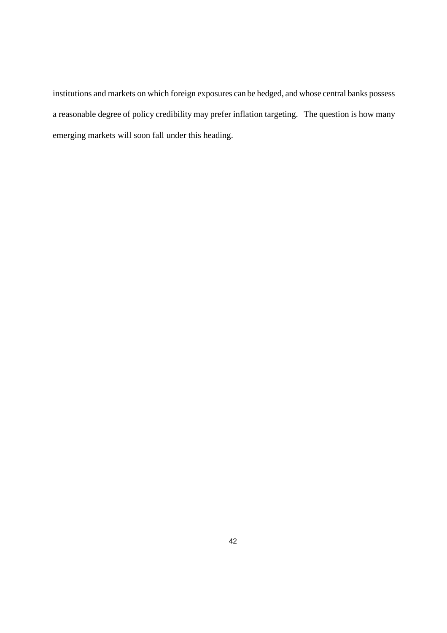institutions and markets on which foreign exposures can be hedged, and whose central banks possess a reasonable degree of policy credibility may prefer inflation targeting. The question is how many emerging markets will soon fall under this heading.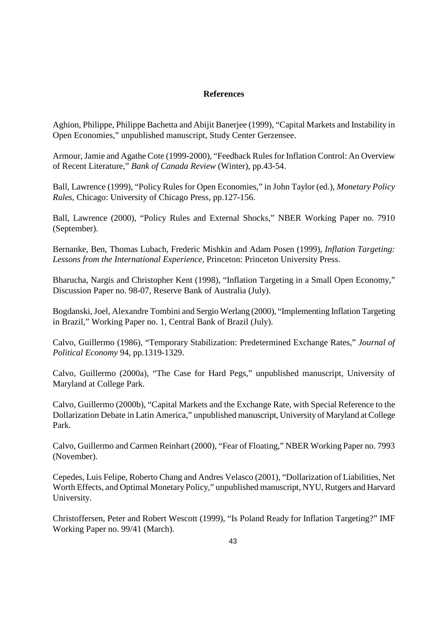#### **References**

Aghion, Philippe, Philippe Bachetta and Abijit Banerjee (1999), "Capital Markets and Instability in Open Economies," unpublished manuscript, Study Center Gerzensee.

Armour, Jamie and Agathe Cote (1999-2000), "Feedback Rules for Inflation Control: An Overview of Recent Literature," *Bank of Canada Review* (Winter), pp.43-54.

Ball, Lawrence (1999), "Policy Rules for Open Economies," in John Taylor (ed.), *Monetary Policy Rules,* Chicago: University of Chicago Press, pp.127-156.

Ball, Lawrence (2000), "Policy Rules and External Shocks," NBER Working Paper no. 7910 (September).

Bernanke, Ben, Thomas Lubach, Frederic Mishkin and Adam Posen (1999), *Inflation Targeting: Lessons from the International Experience,* Princeton: Princeton University Press.

Bharucha, Nargis and Christopher Kent (1998), "Inflation Targeting in a Small Open Economy," Discussion Paper no. 98-07, Reserve Bank of Australia (July).

Bogdanski, Joel, Alexandre Tombini and Sergio Werlang (2000), "Implementing Inflation Targeting in Brazil," Working Paper no. 1, Central Bank of Brazil (July).

Calvo, Guillermo (1986), "Temporary Stabilization: Predetermined Exchange Rates," *Journal of Political Economy* 94, pp.1319-1329.

Calvo, Guillermo (2000a), "The Case for Hard Pegs," unpublished manuscript, University of Maryland at College Park.

Calvo, Guillermo (2000b), "Capital Markets and the Exchange Rate, with Special Reference to the Dollarization Debate in Latin America," unpublished manuscript, University of Maryland at College Park.

Calvo, Guillermo and Carmen Reinhart (2000), "Fear of Floating," NBER Working Paper no. 7993 (November).

Cepedes, Luis Felipe, Roberto Chang and Andres Velasco (2001), "Dollarization of Liabilities, Net Worth Effects, and Optimal Monetary Policy," unpublished manuscript, NYU, Rutgers and Harvard University.

Christoffersen, Peter and Robert Wescott (1999), "Is Poland Ready for Inflation Targeting?" IMF Working Paper no. 99/41 (March).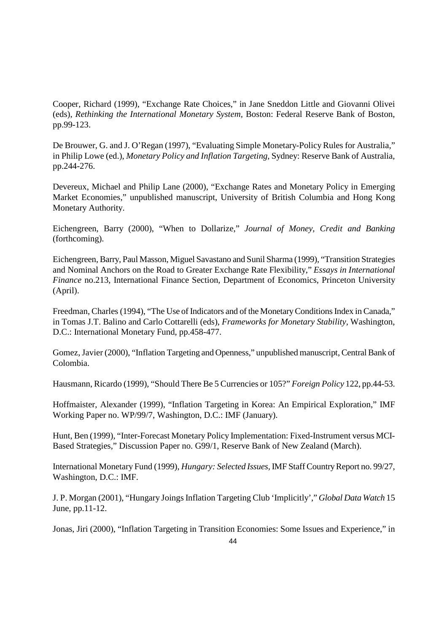Cooper, Richard (1999), "Exchange Rate Choices," in Jane Sneddon Little and Giovanni Olivei (eds), *Rethinking the International Monetary System,* Boston: Federal Reserve Bank of Boston, pp.99-123.

De Brouwer, G. and J. O'Regan (1997), "Evaluating Simple Monetary-Policy Rules for Australia," in Philip Lowe (ed.), *Monetary Policy and Inflation Targeting,* Sydney: Reserve Bank of Australia, pp.244-276.

Devereux, Michael and Philip Lane (2000), "Exchange Rates and Monetary Policy in Emerging Market Economies," unpublished manuscript, University of British Columbia and Hong Kong Monetary Authority.

Eichengreen, Barry (2000), "When to Dollarize," *Journal of Money, Credit and Banking*  (forthcoming).

Eichengreen, Barry, Paul Masson, Miguel Savastano and Sunil Sharma (1999), "Transition Strategies and Nominal Anchors on the Road to Greater Exchange Rate Flexibility," *Essays in International Finance* no.213, International Finance Section, Department of Economics, Princeton University (April).

Freedman, Charles (1994), "The Use of Indicators and of the Monetary Conditions Index in Canada," in Tomas J.T. Balino and Carlo Cottarelli (eds), *Frameworks for Monetary Stability,* Washington, D.C.: International Monetary Fund, pp.458-477.

Gomez, Javier (2000), "Inflation Targeting and Openness," unpublished manuscript, Central Bank of Colombia.

Hausmann, Ricardo (1999), "Should There Be 5 Currencies or 105?" *Foreign Policy* 122, pp.44-53.

Hoffmaister, Alexander (1999), "Inflation Targeting in Korea: An Empirical Exploration," IMF Working Paper no. WP/99/7, Washington, D.C.: IMF (January).

Hunt, Ben (1999), "Inter-Forecast Monetary Policy Implementation: Fixed-Instrument versus MCI-Based Strategies," Discussion Paper no. G99/1, Reserve Bank of New Zealand (March).

International Monetary Fund (1999), *Hungary: Selected Issues,* IMF Staff Country Report no. 99/27, Washington, D.C.: IMF.

J. P. Morgan (2001), "Hungary Joings Inflation Targeting Club 'Implicitly'," *Global Data Watch* 15 June, pp.11-12.

Jonas, Jiri (2000), "Inflation Targeting in Transition Economies: Some Issues and Experience," in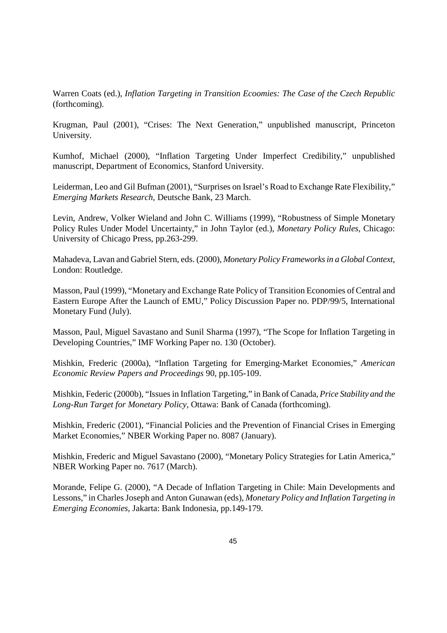Warren Coats (ed.), *Inflation Targeting in Transition Ecoomies: The Case of the Czech Republic* (forthcoming).

Krugman, Paul (2001), "Crises: The Next Generation," unpublished manuscript, Princeton University.

Kumhof, Michael (2000), "Inflation Targeting Under Imperfect Credibility," unpublished manuscript, Department of Economics, Stanford University.

Leiderman, Leo and Gil Bufman (2001), "Surprises on Israel's Road to Exchange Rate Flexibility," *Emerging Markets Research,* Deutsche Bank, 23 March.

Levin, Andrew, Volker Wieland and John C. Williams (1999), "Robustness of Simple Monetary Policy Rules Under Model Uncertainty," in John Taylor (ed.), *Monetary Policy Rules,* Chicago: University of Chicago Press, pp.263-299.

Mahadeva, Lavan and Gabriel Stern, eds. (2000), *Monetary Policy Frameworks in a Global Context*, London: Routledge.

Masson, Paul (1999), "Monetary and Exchange Rate Policy of Transition Economies of Central and Eastern Europe After the Launch of EMU," Policy Discussion Paper no. PDP/99/5, International Monetary Fund (July).

Masson, Paul, Miguel Savastano and Sunil Sharma (1997), "The Scope for Inflation Targeting in Developing Countries," IMF Working Paper no. 130 (October).

Mishkin, Frederic (2000a), "Inflation Targeting for Emerging-Market Economies," *American Economic Review Papers and Proceedings* 90, pp.105-109.

Mishkin, Federic (2000b), "Issues in Inflation Targeting," in Bank of Canada, *Price Stability and the Long-Run Target for Monetary Policy,* Ottawa: Bank of Canada (forthcoming).

Mishkin, Frederic (2001), "Financial Policies and the Prevention of Financial Crises in Emerging Market Economies," NBER Working Paper no. 8087 (January).

Mishkin, Frederic and Miguel Savastano (2000), "Monetary Policy Strategies for Latin America," NBER Working Paper no. 7617 (March).

Morande, Felipe G. (2000), "A Decade of Inflation Targeting in Chile: Main Developments and Lessons," in Charles Joseph and Anton Gunawan (eds), *Monetary Policy and Inflation Targeting in Emerging Economies,* Jakarta: Bank Indonesia, pp.149-179.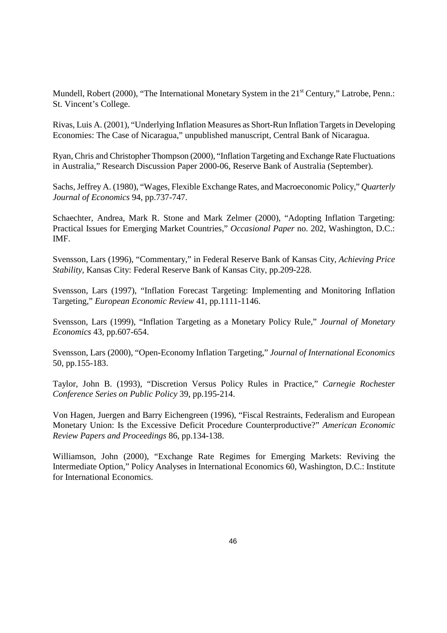Mundell, Robert (2000), "The International Monetary System in the 21<sup>st</sup> Century," Latrobe, Penn.: St. Vincent's College.

Rivas, Luis A. (2001), "Underlying Inflation Measures as Short-Run Inflation Targets in Developing Economies: The Case of Nicaragua," unpublished manuscript, Central Bank of Nicaragua.

Ryan, Chris and Christopher Thompson (2000), "Inflation Targeting and Exchange Rate Fluctuations in Australia," Research Discussion Paper 2000-06, Reserve Bank of Australia (September).

Sachs, Jeffrey A. (1980), "Wages, Flexible Exchange Rates, and Macroeconomic Policy," *Quarterly Journal of Economics* 94, pp.737-747.

Schaechter, Andrea, Mark R. Stone and Mark Zelmer (2000), "Adopting Inflation Targeting: Practical Issues for Emerging Market Countries," *Occasional Paper* no. 202, Washington, D.C.: IMF.

Svensson, Lars (1996), "Commentary," in Federal Reserve Bank of Kansas City, *Achieving Price Stability,* Kansas City: Federal Reserve Bank of Kansas City, pp.209-228.

Svensson, Lars (1997), "Inflation Forecast Targeting: Implementing and Monitoring Inflation Targeting," *European Economic Review* 41, pp.1111-1146.

Svensson, Lars (1999), "Inflation Targeting as a Monetary Policy Rule," *Journal of Monetary Economics* 43, pp.607-654.

Svensson, Lars (2000), "Open-Economy Inflation Targeting," *Journal of International Economics*  50, pp.155-183.

Taylor, John B. (1993), "Discretion Versus Policy Rules in Practice," *Carnegie Rochester Conference Series on Public Policy* 39, pp.195-214.

Von Hagen, Juergen and Barry Eichengreen (1996), "Fiscal Restraints, Federalism and European Monetary Union: Is the Excessive Deficit Procedure Counterproductive?" *American Economic Review Papers and Proceedings* 86, pp.134-138.

Williamson, John (2000), "Exchange Rate Regimes for Emerging Markets: Reviving the Intermediate Option," Policy Analyses in International Economics 60, Washington, D.C.: Institute for International Economics.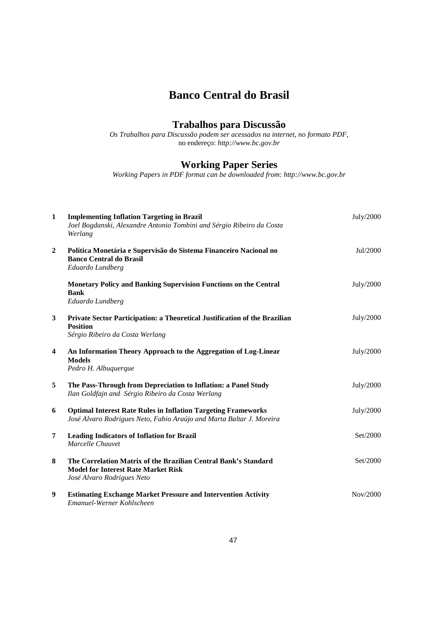## **Banco Central do Brasil**

### **Trabalhos para Discussão**

*Os Trabalhos para Discussão podem ser acessados na internet, no formato PDF,*  no endereço: *http://www.bc.gov.br* 

#### **Working Paper Series**

*Working Papers in PDF format can be downloaded from: http://www.bc.gov.br* 

| 1                       | <b>Implementing Inflation Targeting in Brazil</b><br>Joel Bogdanski, Alexandre Antonio Tombini and Sérgio Ribeiro da Costa<br>Werlang        | July/2000 |
|-------------------------|----------------------------------------------------------------------------------------------------------------------------------------------|-----------|
| $\overline{2}$          | Política Monetária e Supervisão do Sistema Financeiro Nacional no<br><b>Banco Central do Brasil</b><br>Eduardo Lundberg                      | Jul/2000  |
|                         | Monetary Policy and Banking Supervision Functions on the Central<br><b>Bank</b><br>Eduardo Lundberg                                          | July/2000 |
| $\mathbf{3}$            | Private Sector Participation: a Theoretical Justification of the Brazilian<br><b>Position</b><br>Sérgio Ribeiro da Costa Werlang             | July/2000 |
| $\overline{\mathbf{4}}$ | An Information Theory Approach to the Aggregation of Log-Linear<br><b>Models</b><br>Pedro H. Albuquerque                                     | July/2000 |
| 5                       | The Pass-Through from Depreciation to Inflation: a Panel Study<br>Ilan Goldfajn and Sérgio Ribeiro da Costa Werlang                          | July/2000 |
| 6                       | <b>Optimal Interest Rate Rules in Inflation Targeting Frameworks</b><br>José Alvaro Rodrigues Neto, Fabio Araújo and Marta Baltar J. Moreira | July/2000 |
| $\overline{7}$          | <b>Leading Indicators of Inflation for Brazil</b><br>Marcelle Chauvet                                                                        | Set/2000  |
| 8                       | The Correlation Matrix of the Brazilian Central Bank's Standard<br><b>Model for Interest Rate Market Risk</b><br>José Alvaro Rodrigues Neto  | Set/2000  |
| 9                       | <b>Estimating Exchange Market Pressure and Intervention Activity</b><br>Emanuel-Werner Kohlscheen                                            | Nov/2000  |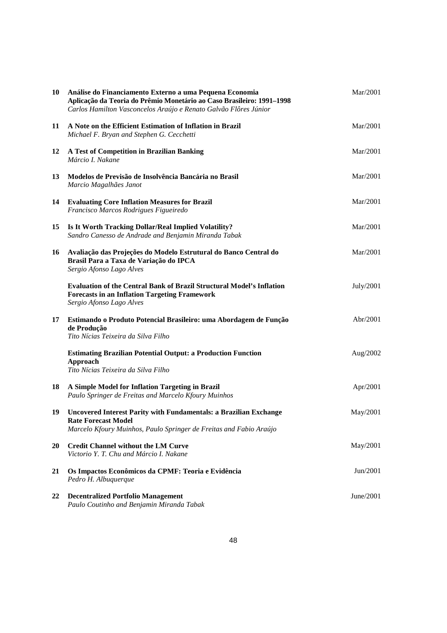| 10 | Análise do Financiamento Externo a uma Pequena Economia<br>Aplicação da Teoria do Prêmio Monetário ao Caso Brasileiro: 1991-1998<br>Carlos Hamilton Vasconcelos Araújo e Renato Galvão Flôres Júnior | Mar/2001  |
|----|------------------------------------------------------------------------------------------------------------------------------------------------------------------------------------------------------|-----------|
| 11 | A Note on the Efficient Estimation of Inflation in Brazil<br>Michael F. Bryan and Stephen G. Cecchetti                                                                                               | Mar/2001  |
| 12 | A Test of Competition in Brazilian Banking<br>Márcio I. Nakane                                                                                                                                       | Mar/2001  |
| 13 | Modelos de Previsão de Insolvência Bancária no Brasil<br>Marcio Magalhães Janot                                                                                                                      | Mar/2001  |
| 14 | <b>Evaluating Core Inflation Measures for Brazil</b><br>Francisco Marcos Rodrigues Figueiredo                                                                                                        | Mar/2001  |
| 15 | Is It Worth Tracking Dollar/Real Implied Volatility?<br>Sandro Canesso de Andrade and Benjamin Miranda Tabak                                                                                         | Mar/2001  |
| 16 | Avaliação das Projeções do Modelo Estrutural do Banco Central do<br>Brasil Para a Taxa de Variação do IPCA<br>Sergio Afonso Lago Alves                                                               | Mar/2001  |
|    | <b>Evaluation of the Central Bank of Brazil Structural Model's Inflation</b><br><b>Forecasts in an Inflation Targeting Framework</b><br>Sergio Afonso Lago Alves                                     | July/2001 |
| 17 | Estimando o Produto Potencial Brasileiro: uma Abordagem de Função<br>de Produção<br>Tito Nícias Teixeira da Silva Filho                                                                              | Abr/2001  |
|    | <b>Estimating Brazilian Potential Output: a Production Function</b><br>Approach<br>Tito Nícias Teixeira da Silva Filho                                                                               | Aug/2002  |
| 18 | A Simple Model for Inflation Targeting in Brazil<br>Paulo Springer de Freitas and Marcelo Kfoury Muinhos                                                                                             | Apr/2001  |
| 19 | <b>Uncovered Interest Parity with Fundamentals: a Brazilian Exchange</b><br><b>Rate Forecast Model</b><br>Marcelo Kfoury Muinhos, Paulo Springer de Freitas and Fabio Araújo                         | May/2001  |
| 20 | <b>Credit Channel without the LM Curve</b><br>Victorio Y. T. Chu and Márcio I. Nakane                                                                                                                | May/2001  |
| 21 | Os Impactos Econômicos da CPMF: Teoria e Evidência<br>Pedro H. Albuquerque                                                                                                                           | Jun/2001  |
| 22 | <b>Decentralized Portfolio Management</b><br>Paulo Coutinho and Benjamin Miranda Tabak                                                                                                               | June/2001 |